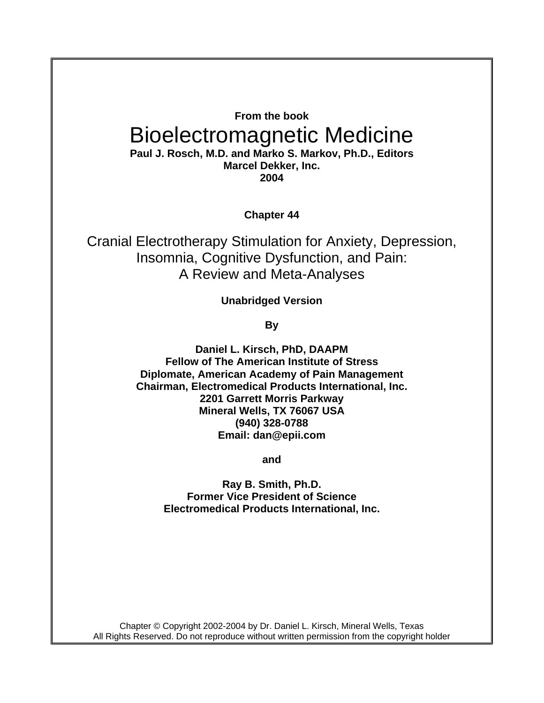**From the book** 

# Bioelectromagnetic Medicine

**Paul J. Rosch, M.D. and Marko S. Markov, Ph.D., Editors Marcel Dekker, Inc. 2004** 

**Chapter 44** 

Cranial Electrotherapy Stimulation for Anxiety, Depression, Insomnia, Cognitive Dysfunction, and Pain: A Review and Meta-Analyses

**Unabridged Version** 

**By** 

**Daniel L. Kirsch, PhD, DAAPM Fellow of The American Institute of Stress Diplomate, American Academy of Pain Management Chairman, Electromedical Products International, Inc. 2201 Garrett Morris Parkway Mineral Wells, TX 76067 USA (940) 328-0788 Email: dan@epii.com** 

**and** 

**Ray B. Smith, Ph.D. Former Vice President of Science Electromedical Products International, Inc.** 

Chapter © Copyright 2002-2004 by Dr. Daniel L. Kirsch, Mineral Wells, Texas All Rights Reserved. Do not reproduce without written permission from the copyright holder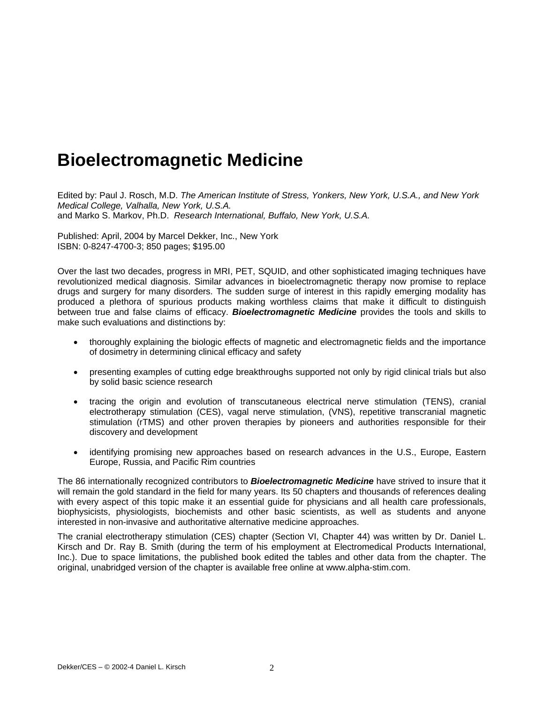## **Bioelectromagnetic Medicine**

Edited by: Paul J. Rosch, M.D. *The American Institute of Stress, Yonkers, New York, U.S.A., and New York Medical College, Valhalla, New York, U.S.A.* and Marko S. Markov, Ph.D. *Research International, Buffalo, New York, U.S.A.*

Published: April, 2004 by Marcel Dekker, Inc., New York ISBN: 0-8247-4700-3; 850 pages; \$195.00

Over the last two decades, progress in MRI, PET, SQUID, and other sophisticated imaging techniques have revolutionized medical diagnosis. Similar advances in bioelectromagnetic therapy now promise to replace drugs and surgery for many disorders. The sudden surge of interest in this rapidly emerging modality has produced a plethora of spurious products making worthless claims that make it difficult to distinguish between true and false claims of efficacy. *Bioelectromagnetic Medicine* provides the tools and skills to make such evaluations and distinctions by:

- thoroughly explaining the biologic effects of magnetic and electromagnetic fields and the importance of dosimetry in determining clinical efficacy and safety
- presenting examples of cutting edge breakthroughs supported not only by rigid clinical trials but also by solid basic science research
- tracing the origin and evolution of transcutaneous electrical nerve stimulation (TENS), cranial electrotherapy stimulation (CES), vagal nerve stimulation, (VNS), repetitive transcranial magnetic stimulation (rTMS) and other proven therapies by pioneers and authorities responsible for their discovery and development
- identifying promising new approaches based on research advances in the U.S., Europe, Eastern Europe, Russia, and Pacific Rim countries

The 86 internationally recognized contributors to *Bioelectromagnetic Medicine* have strived to insure that it will remain the gold standard in the field for many years. Its 50 chapters and thousands of references dealing with every aspect of this topic make it an essential guide for physicians and all health care professionals, biophysicists, physiologists, biochemists and other basic scientists, as well as students and anyone interested in non-invasive and authoritative alternative medicine approaches.

The cranial electrotherapy stimulation (CES) chapter (Section VI, Chapter 44) was written by Dr. Daniel L. Kirsch and Dr. Ray B. Smith (during the term of his employment at Electromedical Products International, Inc.). Due to space limitations, the published book edited the tables and other data from the chapter. The original, unabridged version of the chapter is available free online at www.alpha-stim.com.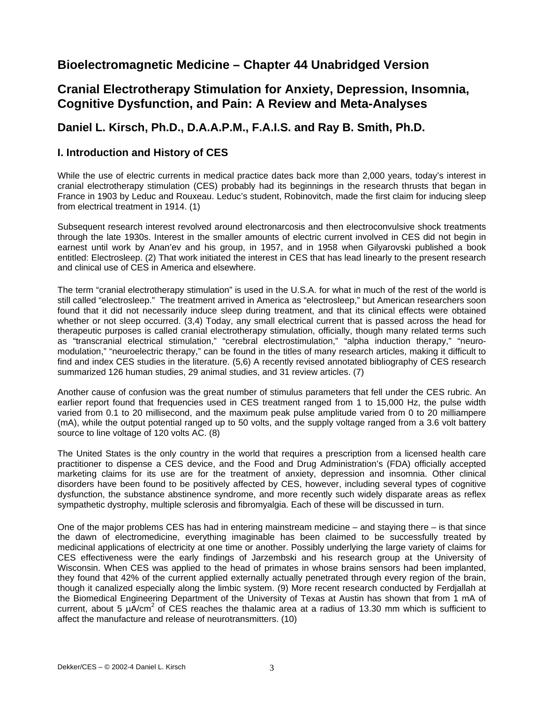## **Bioelectromagnetic Medicine – Chapter 44 Unabridged Version**

## **Cranial Electrotherapy Stimulation for Anxiety, Depression, Insomnia, Cognitive Dysfunction, and Pain: A Review and Meta-Analyses**

## **Daniel L. Kirsch, Ph.D., D.A.A.P.M., F.A.I.S. and Ray B. Smith, Ph.D.**

## **I. Introduction and History of CES**

While the use of electric currents in medical practice dates back more than 2,000 years, today's interest in cranial electrotherapy stimulation (CES) probably had its beginnings in the research thrusts that began in France in 1903 by Leduc and Rouxeau. Leduc's student, Robinovitch, made the first claim for inducing sleep from electrical treatment in 1914. (1)

Subsequent research interest revolved around electronarcosis and then electroconvulsive shock treatments through the late 1930s. Interest in the smaller amounts of electric current involved in CES did not begin in earnest until work by Anan'ev and his group, in 1957, and in 1958 when Gilyarovski published a book entitled: Electrosleep. (2) That work initiated the interest in CES that has lead linearly to the present research and clinical use of CES in America and elsewhere.

The term "cranial electrotherapy stimulation" is used in the U.S.A. for what in much of the rest of the world is still called "electrosleep." The treatment arrived in America as "electrosleep," but American researchers soon found that it did not necessarily induce sleep during treatment, and that its clinical effects were obtained whether or not sleep occurred. (3,4) Today, any small electrical current that is passed across the head for therapeutic purposes is called cranial electrotherapy stimulation, officially, though many related terms such as "transcranial electrical stimulation," "cerebral electrostimulation," "alpha induction therapy," "neuromodulation," "neuroelectric therapy," can be found in the titles of many research articles, making it difficult to find and index CES studies in the literature. (5,6) A recently revised annotated bibliography of CES research summarized 126 human studies, 29 animal studies, and 31 review articles. (7)

Another cause of confusion was the great number of stimulus parameters that fell under the CES rubric. An earlier report found that frequencies used in CES treatment ranged from 1 to 15,000 Hz, the pulse width varied from 0.1 to 20 millisecond, and the maximum peak pulse amplitude varied from 0 to 20 milliampere (mA), while the output potential ranged up to 50 volts, and the supply voltage ranged from a 3.6 volt battery source to line voltage of 120 volts AC. (8)

The United States is the only country in the world that requires a prescription from a licensed health care practitioner to dispense a CES device, and the Food and Drug Administration's (FDA) officially accepted marketing claims for its use are for the treatment of anxiety, depression and insomnia. Other clinical disorders have been found to be positively affected by CES, however, including several types of cognitive dysfunction, the substance abstinence syndrome, and more recently such widely disparate areas as reflex sympathetic dystrophy, multiple sclerosis and fibromyalgia. Each of these will be discussed in turn.

One of the major problems CES has had in entering mainstream medicine – and staying there – is that since the dawn of electromedicine, everything imaginable has been claimed to be successfully treated by medicinal applications of electricity at one time or another. Possibly underlying the large variety of claims for CES effectiveness were the early findings of Jarzembski and his research group at the University of Wisconsin. When CES was applied to the head of primates in whose brains sensors had been implanted, they found that 42% of the current applied externally actually penetrated through every region of the brain, though it canalized especially along the limbic system. (9) More recent research conducted by Ferdjallah at the Biomedical Engineering Department of the University of Texas at Austin has shown that from 1 mA of current, about 5  $\mu$ A/cm<sup>2</sup> of CES reaches the thalamic area at a radius of 13.30 mm which is sufficient to affect the manufacture and release of neurotransmitters. (10)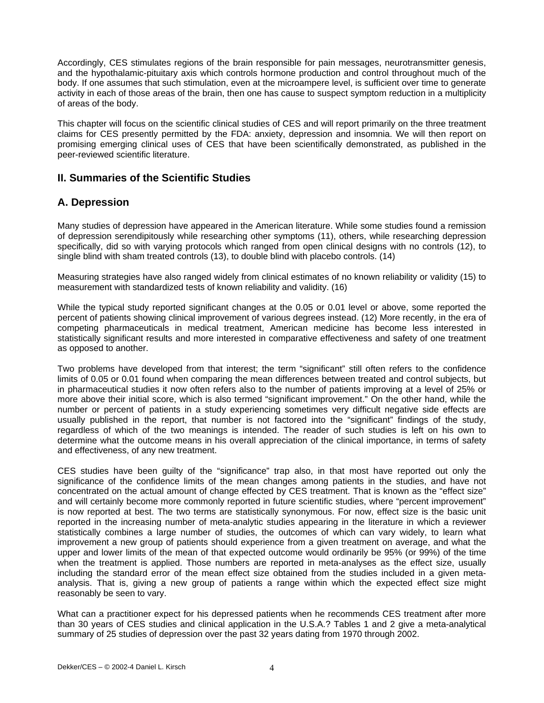Accordingly, CES stimulates regions of the brain responsible for pain messages, neurotransmitter genesis, and the hypothalamic-pituitary axis which controls hormone production and control throughout much of the body. If one assumes that such stimulation, even at the microampere level, is sufficient over time to generate activity in each of those areas of the brain, then one has cause to suspect symptom reduction in a multiplicity of areas of the body.

This chapter will focus on the scientific clinical studies of CES and will report primarily on the three treatment claims for CES presently permitted by the FDA: anxiety, depression and insomnia. We will then report on promising emerging clinical uses of CES that have been scientifically demonstrated, as published in the peer-reviewed scientific literature.

## **II. Summaries of the Scientific Studies**

## **A. Depression**

Many studies of depression have appeared in the American literature. While some studies found a remission of depression serendipitously while researching other symptoms (11), others, while researching depression specifically, did so with varying protocols which ranged from open clinical designs with no controls (12), to single blind with sham treated controls (13), to double blind with placebo controls. (14)

Measuring strategies have also ranged widely from clinical estimates of no known reliability or validity (15) to measurement with standardized tests of known reliability and validity. (16)

While the typical study reported significant changes at the 0.05 or 0.01 level or above, some reported the percent of patients showing clinical improvement of various degrees instead. (12) More recently, in the era of competing pharmaceuticals in medical treatment, American medicine has become less interested in statistically significant results and more interested in comparative effectiveness and safety of one treatment as opposed to another.

Two problems have developed from that interest; the term "significant" still often refers to the confidence limits of 0.05 or 0.01 found when comparing the mean differences between treated and control subjects, but in pharmaceutical studies it now often refers also to the number of patients improving at a level of 25% or more above their initial score, which is also termed "significant improvement." On the other hand, while the number or percent of patients in a study experiencing sometimes very difficult negative side effects are usually published in the report, that number is not factored into the "significant" findings of the study, regardless of which of the two meanings is intended. The reader of such studies is left on his own to determine what the outcome means in his overall appreciation of the clinical importance, in terms of safety and effectiveness, of any new treatment.

CES studies have been guilty of the "significance" trap also, in that most have reported out only the significance of the confidence limits of the mean changes among patients in the studies, and have not concentrated on the actual amount of change effected by CES treatment. That is known as the "effect size" and will certainly become more commonly reported in future scientific studies, where "percent improvement" is now reported at best. The two terms are statistically synonymous. For now, effect size is the basic unit reported in the increasing number of meta-analytic studies appearing in the literature in which a reviewer statistically combines a large number of studies, the outcomes of which can vary widely, to learn what improvement a new group of patients should experience from a given treatment on average, and what the upper and lower limits of the mean of that expected outcome would ordinarily be 95% (or 99%) of the time when the treatment is applied. Those numbers are reported in meta-analyses as the effect size, usually including the standard error of the mean effect size obtained from the studies included in a given metaanalysis. That is, giving a new group of patients a range within which the expected effect size might reasonably be seen to vary.

What can a practitioner expect for his depressed patients when he recommends CES treatment after more than 30 years of CES studies and clinical application in the U.S.A.? Tables 1 and 2 give a meta-analytical summary of 25 studies of depression over the past 32 years dating from 1970 through 2002.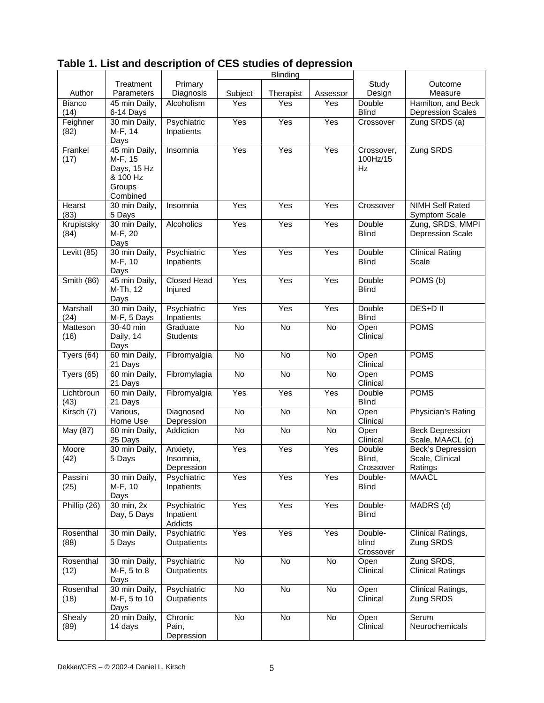|                         |                                          |                            |                  | Blinding         |                  |                         |                                             |
|-------------------------|------------------------------------------|----------------------------|------------------|------------------|------------------|-------------------------|---------------------------------------------|
|                         | Treatment                                | Primary                    |                  |                  |                  | Study                   | Outcome                                     |
| Author<br><b>Bianco</b> | Parameters<br>$\overline{45}$ min Daily, | Diagnosis<br>Alcoholism    | Subject<br>Yes   | Therapist<br>Yes | Assessor<br>Yes  | Design<br>Double        | Measure<br>Hamilton, and Beck               |
| (14)                    | 6-14 Days                                |                            |                  |                  |                  | <b>Blind</b>            | <b>Depression Scales</b>                    |
| Feighner                | 30 min Daily,                            | Psychiatric                | $\overline{Yes}$ | Yes              | Yes              | Crossover               | Zung SRDS (a)                               |
| (82)                    | M-F, 14<br>Days                          | Inpatients                 |                  |                  |                  |                         |                                             |
| Frankel                 | 45 min Daily,                            | Insomnia                   | Yes              | Yes              | Yes              | Crossover,              | Zung SRDS                                   |
| (17)                    | M-F, 15                                  |                            |                  |                  |                  | 100Hz/15                |                                             |
|                         | Days, 15 Hz                              |                            |                  |                  |                  | <b>Hz</b>               |                                             |
|                         | & 100 Hz<br>Groups                       |                            |                  |                  |                  |                         |                                             |
|                         | Combined                                 |                            |                  |                  |                  |                         |                                             |
| Hearst                  | 30 min Daily,                            | Insomnia                   | $\overline{Yes}$ | $\overline{Yes}$ | Yes              | Crossover               | <b>NIMH Self Rated</b>                      |
| (83)                    | 5 Days                                   |                            |                  |                  |                  |                         | Symptom Scale                               |
| Krupistsky<br>(84)      | 30 min Daily,<br>M-F, 20                 | Alcoholics                 | $\overline{Yes}$ | $\overline{Yes}$ | Yes              | Double<br><b>Blind</b>  | Zung, SRDS, MMPI<br><b>Depression Scale</b> |
|                         | Days                                     |                            |                  |                  |                  |                         |                                             |
| Levitt (85)             | 30 min Daily,                            | Psychiatric                | Yes              | Yes              | Yes              | Double                  | Clinical Rating                             |
|                         | M-F, 10                                  | Inpatients                 |                  |                  |                  | <b>Blind</b>            | Scale                                       |
| Smith (86)              | Days<br>45 min Daily,                    | <b>Closed Head</b>         | Yes              | Yes              | $\overline{Yes}$ | Double                  | POMS (b)                                    |
|                         | M-Th, 12                                 | Injured                    |                  |                  |                  | <b>Blind</b>            |                                             |
|                         | Days                                     |                            |                  |                  |                  |                         |                                             |
| Marshall<br>(24)        | 30 min Daily,<br>M-F, 5 Days             | Psychiatric<br>Inpatients  | Yes              | Yes              | Yes              | Double<br><b>Blind</b>  | DES+D II                                    |
| Matteson                | 30-40 min                                | Graduate                   | No               | No               | No               | Open                    | <b>POMS</b>                                 |
| (16)                    | Daily, 14                                | <b>Students</b>            |                  |                  |                  | Clinical                |                                             |
|                         | Days                                     |                            |                  |                  |                  |                         |                                             |
| Tyers (64)              | 60 min Daily,<br>21 Days                 | Fibromyalgia               | No               | No               | No               | Open<br>Clinical        | <b>POMS</b>                                 |
| Tyers (65)              | 60 min Daily,                            | Fibromylagia               | No               | No               | No               | Open                    | <b>POMS</b>                                 |
|                         | 21 Days                                  |                            |                  |                  |                  | Clinical                |                                             |
| Lichtbroun<br>(43)      | 60 min Daily,<br>21 Days                 | Fibromyalgia               | Yes              | Yes              | Yes              | Double<br><b>Blind</b>  | <b>POMS</b>                                 |
| Kirsch (7)              | Various,                                 | Diagnosed                  | $\overline{N}$   | $\overline{N}$   | No               | Open                    | Physician's Rating                          |
|                         | Home Use                                 | Depression                 |                  |                  |                  | Clinical                |                                             |
| May (87)                | 60 min Daily,<br>25 Days                 | Addiction                  | No               | No               | No               | Open<br>Clinical        | <b>Beck Depression</b><br>Scale, MAACL (c)  |
| Moore                   | 30 min Daily,                            | Anxiety,                   | Yes              | Yes              | Yes              | Double                  | Beck's Depression                           |
| (42)                    | 5 Days                                   | Insomnia,                  |                  |                  |                  | Blind,                  | Scale, Clinical                             |
|                         | 30 min Daily,                            | Depression<br>Psychiatric  | Yes              | Yes              | Yes              | Crossover               | Ratings                                     |
| Passini<br>(25)         | M-F, 10                                  | Inpatients                 |                  |                  |                  | Double-<br><b>Blind</b> | <b>MAACL</b>                                |
|                         | Days                                     |                            |                  |                  |                  |                         |                                             |
| Phillip (26)            | 30 min, 2x                               | Psychiatric                | Yes              | Yes              | Yes              | Double-                 | MADRS (d)                                   |
|                         | Day, 5 Days                              | Inpatient<br>Addicts       |                  |                  |                  | <b>Blind</b>            |                                             |
| Rosenthal               | 30 min Daily,                            | Psychiatric                | Yes              | Yes              | Yes              | Double-                 | Clinical Ratings,                           |
| (88)                    | 5 Days                                   | Outpatients                |                  |                  |                  | blind                   | Zung SRDS                                   |
|                         |                                          |                            | No               | No               | No               | Crossover               |                                             |
| Rosenthal<br>(12)       | 30 min Daily,<br>M-F, 5 to 8             | Psychiatric<br>Outpatients |                  |                  |                  | Open<br>Clinical        | Zung SRDS,<br><b>Clinical Ratings</b>       |
|                         | Days                                     |                            |                  |                  |                  |                         |                                             |
| Rosenthal               | 30 min Daily,                            | Psychiatric                | No               | No               | No               | Open                    | Clinical Ratings,                           |
| (18)                    | M-F, 5 to 10<br>Days                     | Outpatients                |                  |                  |                  | Clinical                | Zung SRDS                                   |
| Shealy                  | 20 min Daily,                            | Chronic                    | No               | No               | No               | Open                    | Serum                                       |
| (89)                    | 14 days                                  | Pain,                      |                  |                  |                  | Clinical                | Neurochemicals                              |
|                         |                                          | Depression                 |                  |                  |                  |                         |                                             |

**Table 1. List and description of CES studies of depression**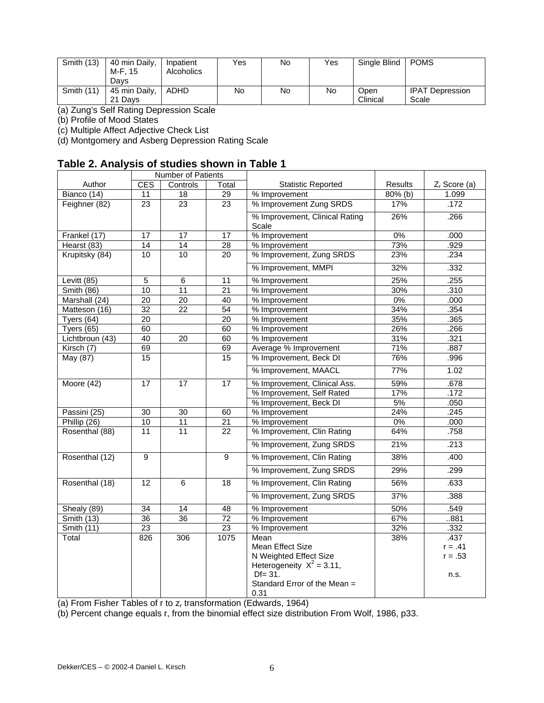| Smith (13)   | 40 min Daily,<br>M-F. 15<br>Davs | Inpatient<br>Alcoholics | Yes | No | Yes | Single Blind     | <b>POMS</b>              |
|--------------|----------------------------------|-------------------------|-----|----|-----|------------------|--------------------------|
| Smith $(11)$ | 45 min Daily,<br>21 Davs         | ADHD                    | No  | No | No  | Open<br>Clinical | IPAT Depression<br>Scale |

(a) Zung's Self Rating Depression Scale

(b) Profile of Mood States

(c) Multiple Affect Adjective Check List

(d) Montgomery and Asberg Depression Rating Scale

## **Table 2. Analysis of studies shown in Table 1**

|                 |                 | Number of Patients |                 |                                         |                |                |
|-----------------|-----------------|--------------------|-----------------|-----------------------------------------|----------------|----------------|
| Author          | <b>CES</b>      | Controls           | Total           | <b>Statistic Reported</b>               | <b>Results</b> | $Zr$ Score (a) |
| Bianco (14)     | 11              | $\overline{18}$    | $\overline{29}$ | % Improvement                           | $80\%$ (b)     | 1.099          |
| Feighner (82)   | $\overline{23}$ | $\overline{23}$    | $\overline{23}$ | % Improvement Zung SRDS                 | 17%            | .172           |
|                 |                 |                    |                 | % Improvement, Clinical Rating<br>Scale | 26%            | .266           |
| Frankel (17)    | 17              | 17                 | $\overline{17}$ | % Improvement                           | $0\%$          | .000           |
| Hearst (83)     | 14              | $\overline{14}$    | $\overline{28}$ | % Improvement                           | 73%            | .929           |
| Krupitsky (84)  | 10              | 10                 | $\overline{20}$ | % Improvement, Zung SRDS                | 23%            | .234           |
|                 |                 |                    |                 | % Improvement, MMPI                     | 32%            | .332           |
| Levitt (85)     | $\overline{5}$  | $\overline{6}$     | 11              | % Improvement                           | 25%            | .255           |
| Smith (86)      | 10              | 11                 | $\overline{21}$ | % Improvement                           | 30%            | .310           |
| Marshall (24)   | $\overline{20}$ | $\overline{20}$    | 40              | % Improvement                           | $0\%$          | .000           |
| Matteson (16)   | $\overline{32}$ | 22                 | 54              | % Improvement                           | 34%            | .354           |
| Tyers (64)      | $\overline{20}$ |                    | $\overline{20}$ | % Improvement                           | 35%            | .365           |
| Tyers $(65)$    | 60              |                    | 60              | % Improvement                           | 26%            | .266           |
| Lichtbroun (43) | 40              | $\overline{20}$    | 60              | % Improvement                           | 31%            | .321           |
| Kirsch (7)      | 69              |                    | 69              | Average % Improvement                   | 71%            | .887           |
| May (87)        | 15              |                    | 15              | % Improvement, Beck DI                  | 76%            | .996           |
|                 |                 |                    |                 | % Improvement, MAACL                    | 77%            | 1.02           |
| Moore (42)      | 17              | 17                 | 17              | % Improvement, Clinical Ass.            | 59%            | .678           |
|                 |                 |                    |                 | % Improvement, Self Rated               | 17%            | .172           |
|                 |                 |                    |                 | % Improvement, Beck DI                  | 5%             | .050           |
| Passini (25)    | 30              | $\overline{30}$    | 60              | % Improvement                           | 24%            | .245           |
| Phillip (26)    | 10              | 11                 | $\overline{21}$ | % Improvement                           | $0\%$          | .000           |
| Rosenthal (88)  | 11              | $\overline{11}$    | $\overline{22}$ | % Improvement, Clin Rating              | 64%            | .758           |
|                 |                 |                    |                 | % Improvement, Zung SRDS                | 21%            | .213           |
| Rosenthal (12)  | $\overline{9}$  |                    | $\overline{9}$  | % Improvement, Clin Rating              | 38%            | .400           |
|                 |                 |                    |                 | % Improvement, Zung SRDS                | 29%            | .299           |
| Rosenthal (18)  | $\overline{12}$ | 6                  | $\overline{18}$ | % Improvement, Clin Rating              | 56%            | .633           |
|                 |                 |                    |                 | % Improvement, Zung SRDS                | 37%            | .388           |
| Shealy (89)     | 34              | $\overline{14}$    | 48              | % Improvement                           | 50%            | .549           |
| Smith $(13)$    | 36              | 36                 | $\overline{72}$ | % Improvement                           | 67%            | .881           |
| Smith (11)      | $\overline{23}$ |                    | $\overline{23}$ | % Improvement                           | 32%            | .332           |
| Total           | 826             | 306                | 1075            | Mean                                    | 38%            | .437           |
|                 |                 |                    |                 | Mean Effect Size                        |                | $r = .41$      |
|                 |                 |                    |                 | N Weighted Effect Size                  |                | $r = .53$      |
|                 |                 |                    |                 | Heterogeneity $X^2 = 3.11$ ,            |                |                |
|                 |                 |                    |                 | $Df = 31$ .                             |                | n.s.           |
|                 |                 |                    |                 | Standard Error of the Mean =            |                |                |
|                 |                 |                    |                 | 0.31                                    |                |                |

(a) From Fisher Tables of r to  $z<sub>r</sub>$  transformation (Edwards, 1964)

(b) Percent change equals r, from the binomial effect size distribution From Wolf, 1986, p33.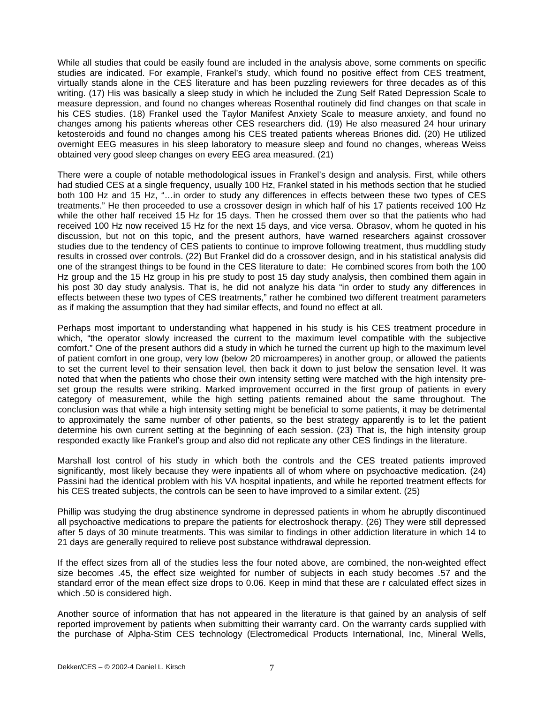While all studies that could be easily found are included in the analysis above, some comments on specific studies are indicated. For example, Frankel's study, which found no positive effect from CES treatment, virtually stands alone in the CES literature and has been puzzling reviewers for three decades as of this writing. (17) His was basically a sleep study in which he included the Zung Self Rated Depression Scale to measure depression, and found no changes whereas Rosenthal routinely did find changes on that scale in his CES studies. (18) Frankel used the Taylor Manifest Anxiety Scale to measure anxiety, and found no changes among his patients whereas other CES researchers did. (19) He also measured 24 hour urinary ketosteroids and found no changes among his CES treated patients whereas Briones did. (20) He utilized overnight EEG measures in his sleep laboratory to measure sleep and found no changes, whereas Weiss obtained very good sleep changes on every EEG area measured. (21)

There were a couple of notable methodological issues in Frankel's design and analysis. First, while others had studied CES at a single frequency, usually 100 Hz, Frankel stated in his methods section that he studied both 100 Hz and 15 Hz, "…in order to study any differences in effects between these two types of CES treatments." He then proceeded to use a crossover design in which half of his 17 patients received 100 Hz while the other half received 15 Hz for 15 days. Then he crossed them over so that the patients who had received 100 Hz now received 15 Hz for the next 15 days, and vice versa. Obrasov, whom he quoted in his discussion, but not on this topic, and the present authors, have warned researchers against crossover studies due to the tendency of CES patients to continue to improve following treatment, thus muddling study results in crossed over controls. (22) But Frankel did do a crossover design, and in his statistical analysis did one of the strangest things to be found in the CES literature to date: He combined scores from both the 100 Hz group and the 15 Hz group in his pre study to post 15 day study analysis, then combined them again in his post 30 day study analysis. That is, he did not analyze his data "in order to study any differences in effects between these two types of CES treatments," rather he combined two different treatment parameters as if making the assumption that they had similar effects, and found no effect at all.

Perhaps most important to understanding what happened in his study is his CES treatment procedure in which, "the operator slowly increased the current to the maximum level compatible with the subjective comfort." One of the present authors did a study in which he turned the current up high to the maximum level of patient comfort in one group, very low (below 20 microamperes) in another group, or allowed the patients to set the current level to their sensation level, then back it down to just below the sensation level. It was noted that when the patients who chose their own intensity setting were matched with the high intensity preset group the results were striking. Marked improvement occurred in the first group of patients in every category of measurement, while the high setting patients remained about the same throughout. The conclusion was that while a high intensity setting might be beneficial to some patients, it may be detrimental to approximately the same number of other patients, so the best strategy apparently is to let the patient determine his own current setting at the beginning of each session. (23) That is, the high intensity group responded exactly like Frankel's group and also did not replicate any other CES findings in the literature.

Marshall lost control of his study in which both the controls and the CES treated patients improved significantly, most likely because they were inpatients all of whom where on psychoactive medication. (24) Passini had the identical problem with his VA hospital inpatients, and while he reported treatment effects for his CES treated subjects, the controls can be seen to have improved to a similar extent. (25)

Phillip was studying the drug abstinence syndrome in depressed patients in whom he abruptly discontinued all psychoactive medications to prepare the patients for electroshock therapy. (26) They were still depressed after 5 days of 30 minute treatments. This was similar to findings in other addiction literature in which 14 to 21 days are generally required to relieve post substance withdrawal depression.

If the effect sizes from all of the studies less the four noted above, are combined, the non-weighted effect size becomes .45, the effect size weighted for number of subjects in each study becomes .57 and the standard error of the mean effect size drops to 0.06. Keep in mind that these are r calculated effect sizes in which .50 is considered high.

Another source of information that has not appeared in the literature is that gained by an analysis of self reported improvement by patients when submitting their warranty card. On the warranty cards supplied with the purchase of Alpha-Stim CES technology (Electromedical Products International, Inc, Mineral Wells,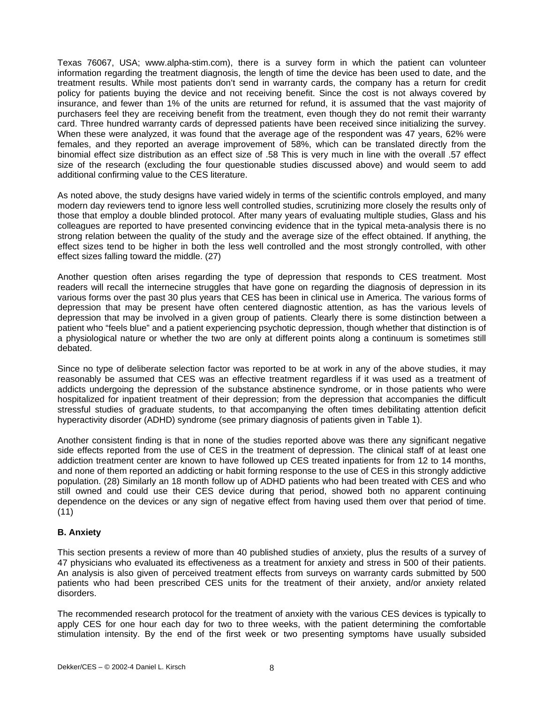Texas 76067, USA; www.alpha-stim.com), there is a survey form in which the patient can volunteer information regarding the treatment diagnosis, the length of time the device has been used to date, and the treatment results. While most patients don't send in warranty cards, the company has a return for credit policy for patients buying the device and not receiving benefit. Since the cost is not always covered by insurance, and fewer than 1% of the units are returned for refund, it is assumed that the vast majority of purchasers feel they are receiving benefit from the treatment, even though they do not remit their warranty card. Three hundred warranty cards of depressed patients have been received since initializing the survey. When these were analyzed, it was found that the average age of the respondent was 47 years, 62% were females, and they reported an average improvement of 58%, which can be translated directly from the binomial effect size distribution as an effect size of .58 This is very much in line with the overall .57 effect size of the research (excluding the four questionable studies discussed above) and would seem to add additional confirming value to the CES literature.

As noted above, the study designs have varied widely in terms of the scientific controls employed, and many modern day reviewers tend to ignore less well controlled studies, scrutinizing more closely the results only of those that employ a double blinded protocol. After many years of evaluating multiple studies, Glass and his colleagues are reported to have presented convincing evidence that in the typical meta-analysis there is no strong relation between the quality of the study and the average size of the effect obtained. If anything, the effect sizes tend to be higher in both the less well controlled and the most strongly controlled, with other effect sizes falling toward the middle. (27)

Another question often arises regarding the type of depression that responds to CES treatment. Most readers will recall the internecine struggles that have gone on regarding the diagnosis of depression in its various forms over the past 30 plus years that CES has been in clinical use in America. The various forms of depression that may be present have often centered diagnostic attention, as has the various levels of depression that may be involved in a given group of patients. Clearly there is some distinction between a patient who "feels blue" and a patient experiencing psychotic depression, though whether that distinction is of a physiological nature or whether the two are only at different points along a continuum is sometimes still debated.

Since no type of deliberate selection factor was reported to be at work in any of the above studies, it may reasonably be assumed that CES was an effective treatment regardless if it was used as a treatment of addicts undergoing the depression of the substance abstinence syndrome, or in those patients who were hospitalized for inpatient treatment of their depression; from the depression that accompanies the difficult stressful studies of graduate students, to that accompanying the often times debilitating attention deficit hyperactivity disorder (ADHD) syndrome (see primary diagnosis of patients given in Table 1).

Another consistent finding is that in none of the studies reported above was there any significant negative side effects reported from the use of CES in the treatment of depression. The clinical staff of at least one addiction treatment center are known to have followed up CES treated inpatients for from 12 to 14 months, and none of them reported an addicting or habit forming response to the use of CES in this strongly addictive population. (28) Similarly an 18 month follow up of ADHD patients who had been treated with CES and who still owned and could use their CES device during that period, showed both no apparent continuing dependence on the devices or any sign of negative effect from having used them over that period of time. (11)

#### **B. Anxiety**

This section presents a review of more than 40 published studies of anxiety, plus the results of a survey of 47 physicians who evaluated its effectiveness as a treatment for anxiety and stress in 500 of their patients. An analysis is also given of perceived treatment effects from surveys on warranty cards submitted by 500 patients who had been prescribed CES units for the treatment of their anxiety, and/or anxiety related disorders.

The recommended research protocol for the treatment of anxiety with the various CES devices is typically to apply CES for one hour each day for two to three weeks, with the patient determining the comfortable stimulation intensity. By the end of the first week or two presenting symptoms have usually subsided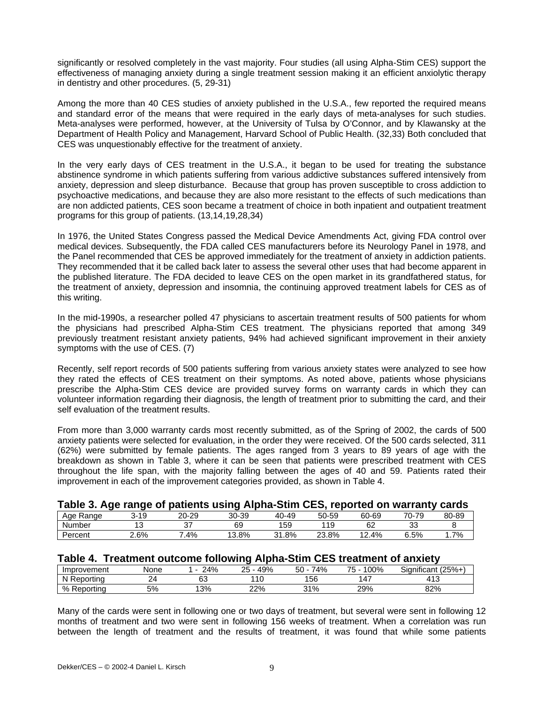significantly or resolved completely in the vast majority. Four studies (all using Alpha-Stim CES) support the effectiveness of managing anxiety during a single treatment session making it an efficient anxiolytic therapy in dentistry and other procedures. (5, 29-31)

Among the more than 40 CES studies of anxiety published in the U.S.A., few reported the required means and standard error of the means that were required in the early days of meta-analyses for such studies. Meta-analyses were performed, however, at the University of Tulsa by O'Connor, and by Klawansky at the Department of Health Policy and Management, Harvard School of Public Health. (32,33) Both concluded that CES was unquestionably effective for the treatment of anxiety.

In the very early days of CES treatment in the U.S.A., it began to be used for treating the substance abstinence syndrome in which patients suffering from various addictive substances suffered intensively from anxiety, depression and sleep disturbance. Because that group has proven susceptible to cross addiction to psychoactive medications, and because they are also more resistant to the effects of such medications than are non addicted patients, CES soon became a treatment of choice in both inpatient and outpatient treatment programs for this group of patients. (13,14,19,28,34)

In 1976, the United States Congress passed the Medical Device Amendments Act, giving FDA control over medical devices. Subsequently, the FDA called CES manufacturers before its Neurology Panel in 1978, and the Panel recommended that CES be approved immediately for the treatment of anxiety in addiction patients. They recommended that it be called back later to assess the several other uses that had become apparent in the published literature. The FDA decided to leave CES on the open market in its grandfathered status, for the treatment of anxiety, depression and insomnia, the continuing approved treatment labels for CES as of this writing.

In the mid-1990s, a researcher polled 47 physicians to ascertain treatment results of 500 patients for whom the physicians had prescribed Alpha-Stim CES treatment. The physicians reported that among 349 previously treatment resistant anxiety patients, 94% had achieved significant improvement in their anxiety symptoms with the use of CES. (7)

Recently, self report records of 500 patients suffering from various anxiety states were analyzed to see how they rated the effects of CES treatment on their symptoms. As noted above, patients whose physicians prescribe the Alpha-Stim CES device are provided survey forms on warranty cards in which they can volunteer information regarding their diagnosis, the length of treatment prior to submitting the card, and their self evaluation of the treatment results.

From more than 3,000 warranty cards most recently submitted, as of the Spring of 2002, the cards of 500 anxiety patients were selected for evaluation, in the order they were received. Of the 500 cards selected, 311 (62%) were submitted by female patients. The ages ranged from 3 years to 89 years of age with the breakdown as shown in Table 3, where it can be seen that patients were prescribed treatment with CES throughout the life span, with the majority falling between the ages of 40 and 59. Patients rated their improvement in each of the improvement categories provided, as shown in Table 4.

|  |  |  | Table 3. Age range of patients using Alpha-Stim CES, reported on warranty cards |
|--|--|--|---------------------------------------------------------------------------------|
|--|--|--|---------------------------------------------------------------------------------|

| Aae<br>Range | -19<br> | ററ<br>ററ<br>∠∪-∠⊍    | חר<br>. ٥٥<br>•აყ<br>- - UC | 40<br>J-49 | -59<br>$50 -$ | 60-69                | $70 -$<br>.79 | 80-89     |
|--------------|---------|----------------------|-----------------------------|------------|---------------|----------------------|---------------|-----------|
| Number       |         | $\sim$ $\rightarrow$ | 69                          | 159        | 110<br>ت.     | r o<br>◡∠            | n n<br>ັບ     |           |
| Percent      | ∠.6%    | 4%                   | 3.8%<br>$\sim$              | .8%<br>ົາ  | 23.8%         | 4%<br>$\overline{a}$ | $6.5\%$       | 7%<br>. . |

#### **Table 4. Treatment outcome following Alpha-Stim CES treatment of anxiety**

| provement<br>Imc            | None     | 24%     | 49%<br>つに<br>້       | '4%<br>50 | 75<br>100%    | $\cdot$<br>$(25% +$<br>- -<br>Significant |
|-----------------------------|----------|---------|----------------------|-----------|---------------|-------------------------------------------|
| -<br>₹eportina<br>N.<br>. . | <u>_</u> | ົ<br>UJ | $\overline{ }$<br>ιU | 56        | $\rightarrow$ | ,,,                                       |
| %<br>Reporting              | 5%       | 13%     | 22%                  | 31%       | 29%           | 82%                                       |

Many of the cards were sent in following one or two days of treatment, but several were sent in following 12 months of treatment and two were sent in following 156 weeks of treatment. When a correlation was run between the length of treatment and the results of treatment, it was found that while some patients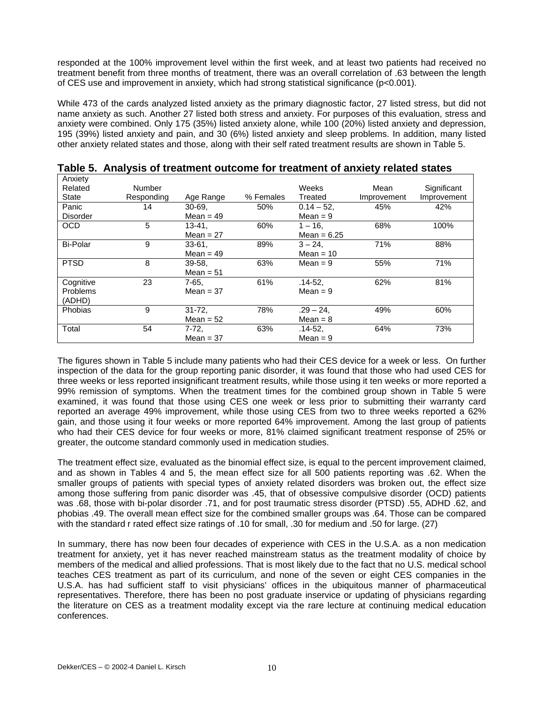responded at the 100% improvement level within the first week, and at least two patients had received no treatment benefit from three months of treatment, there was an overall correlation of .63 between the length of CES use and improvement in anxiety, which had strong statistical significance (p<0.001).

While 473 of the cards analyzed listed anxiety as the primary diagnostic factor, 27 listed stress, but did not name anxiety as such. Another 27 listed both stress and anxiety. For purposes of this evaluation, stress and anxiety were combined. Only 175 (35%) listed anxiety alone, while 100 (20%) listed anxiety and depression, 195 (39%) listed anxiety and pain, and 30 (6%) listed anxiety and sleep problems. In addition, many listed other anxiety related states and those, along with their self rated treatment results are shown in Table 5.

| Anxiety         |            |             |           |               |             |             |
|-----------------|------------|-------------|-----------|---------------|-------------|-------------|
| Related         | Number     |             |           | Weeks         | Mean        | Significant |
| <b>State</b>    | Responding | Age Range   | % Females | Treated       | Improvement | Improvement |
| Panic           | 14         | $30 - 69$ . | 50%       | $0.14 - 52$   | 45%         | 42%         |
| <b>Disorder</b> |            | Mean = $49$ |           | Mean = $9$    |             |             |
| <b>OCD</b>      | 5          | $13 - 41.$  | 60%       | $1 - 16.$     | 68%         | 100%        |
|                 |            | Mean = $27$ |           | Mean = $6.25$ |             |             |
| <b>Bi-Polar</b> | 9          | $33 - 61$   | 89%       | $3 - 24$ .    | 71%         | 88%         |
|                 |            | Mean = $49$ |           | Mean = $10$   |             |             |
| <b>PTSD</b>     | 8          | $39 - 58$ . | 63%       | Mean = $9$    | 55%         | 71%         |
|                 |            | Mean = $51$ |           |               |             |             |
| Cognitive       | 23         | $7-65.$     | 61%       | $.14 - 52,$   | 62%         | 81%         |
| <b>Problems</b> |            | Mean = $37$ |           | Mean = $9$    |             |             |
| (ADHD)          |            |             |           |               |             |             |
| Phobias         | 9          | $31 - 72.$  | 78%       | $.29 - 24,$   | 49%         | 60%         |
|                 |            | Mean = $52$ |           | Mean = $8$    |             |             |
| Total           | 54         | $7 - 72.$   | 63%       | $.14 - 52.$   | 64%         | 73%         |
|                 |            | Mean = $37$ |           | Mean = $9$    |             |             |

|  |  |  |  | Table 5. Analysis of treatment outcome for treatment of anxiety related states |
|--|--|--|--|--------------------------------------------------------------------------------|
|--|--|--|--|--------------------------------------------------------------------------------|

The figures shown in Table 5 include many patients who had their CES device for a week or less. On further inspection of the data for the group reporting panic disorder, it was found that those who had used CES for three weeks or less reported insignificant treatment results, while those using it ten weeks or more reported a 99% remission of symptoms. When the treatment times for the combined group shown in Table 5 were examined, it was found that those using CES one week or less prior to submitting their warranty card reported an average 49% improvement, while those using CES from two to three weeks reported a 62% gain, and those using it four weeks or more reported 64% improvement. Among the last group of patients who had their CES device for four weeks or more, 81% claimed significant treatment response of 25% or greater, the outcome standard commonly used in medication studies.

The treatment effect size, evaluated as the binomial effect size, is equal to the percent improvement claimed, and as shown in Tables 4 and 5, the mean effect size for all 500 patients reporting was .62. When the smaller groups of patients with special types of anxiety related disorders was broken out, the effect size among those suffering from panic disorder was .45, that of obsessive compulsive disorder (OCD) patients was .68, those with bi-polar disorder .71, and for post traumatic stress disorder (PTSD) .55, ADHD .62, and phobias .49. The overall mean effect size for the combined smaller groups was .64. Those can be compared with the standard r rated effect size ratings of .10 for small, .30 for medium and .50 for large. (27)

In summary, there has now been four decades of experience with CES in the U.S.A. as a non medication treatment for anxiety, yet it has never reached mainstream status as the treatment modality of choice by members of the medical and allied professions. That is most likely due to the fact that no U.S. medical school teaches CES treatment as part of its curriculum, and none of the seven or eight CES companies in the U.S.A. has had sufficient staff to visit physicians' offices in the ubiquitous manner of pharmaceutical representatives. Therefore, there has been no post graduate inservice or updating of physicians regarding the literature on CES as a treatment modality except via the rare lecture at continuing medical education conferences.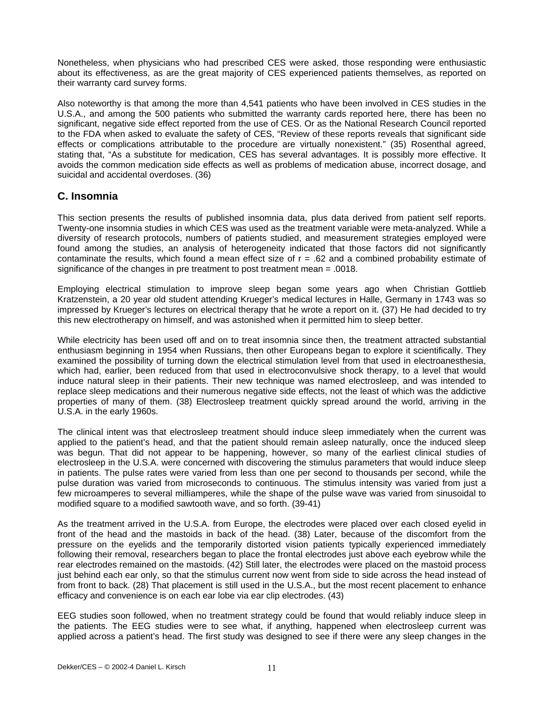Nonetheless, when physicians who had prescribed CES were asked, those responding were enthusiastic about its effectiveness, as are the great majority of CES experienced patients themselves, as reported on their warranty card survey forms.

Also noteworthy is that among the more than 4,541 patients who have been involved in CES studies in the U.S.A., and among the 500 patients who submitted the warranty cards reported here, there has been no significant, negative side effect reported from the use of CES. Or as the National Research Council reported to the FDA when asked to evaluate the safety of CES, "Review of these reports reveals that significant side effects or complications attributable to the procedure are virtually nonexistent." (35) Rosenthal agreed, stating that, "As a substitute for medication, CES has several advantages. It is possibly more effective. It avoids the common medication side effects as well as problems of medication abuse, incorrect dosage, and suicidal and accidental overdoses. (36)

## **C. Insomnia**

This section presents the results of published insomnia data, plus data derived from patient self reports. Twenty-one insomnia studies in which CES was used as the treatment variable were meta-analyzed. While a diversity of research protocols, numbers of patients studied, and measurement strategies employed were found among the studies, an analysis of heterogeneity indicated that those factors did not significantly contaminate the results, which found a mean effect size of  $r = .62$  and a combined probability estimate of significance of the changes in pre treatment to post treatment mean = .0018.

Employing electrical stimulation to improve sleep began some years ago when Christian Gottlieb Kratzenstein, a 20 year old student attending Krueger's medical lectures in Halle, Germany in 1743 was so impressed by Krueger's lectures on electrical therapy that he wrote a report on it. (37) He had decided to try this new electrotherapy on himself, and was astonished when it permitted him to sleep better.

While electricity has been used off and on to treat insomnia since then, the treatment attracted substantial enthusiasm beginning in 1954 when Russians, then other Europeans began to explore it scientifically. They examined the possibility of turning down the electrical stimulation level from that used in electroanesthesia, which had, earlier, been reduced from that used in electroconvulsive shock therapy, to a level that would induce natural sleep in their patients. Their new technique was named electrosleep, and was intended to replace sleep medications and their numerous negative side effects, not the least of which was the addictive properties of many of them. (38) Electrosleep treatment quickly spread around the world, arriving in the U.S.A. in the early 1960s.

The clinical intent was that electrosleep treatment should induce sleep immediately when the current was applied to the patient's head, and that the patient should remain asleep naturally, once the induced sleep was begun. That did not appear to be happening, however, so many of the earliest clinical studies of electrosleep in the U.S.A. were concerned with discovering the stimulus parameters that would induce sleep in patients. The pulse rates were varied from less than one per second to thousands per second, while the pulse duration was varied from microseconds to continuous. The stimulus intensity was varied from just a few microamperes to several milliamperes, while the shape of the pulse wave was varied from sinusoidal to modified square to a modified sawtooth wave, and so forth. (39-41)

As the treatment arrived in the U.S.A. from Europe, the electrodes were placed over each closed eyelid in front of the head and the mastoids in back of the head. (38) Later, because of the discomfort from the pressure on the eyelids and the temporarily distorted vision patients typically experienced immediately following their removal, researchers began to place the frontal electrodes just above each eyebrow while the rear electrodes remained on the mastoids. (42) Still later, the electrodes were placed on the mastoid process just behind each ear only, so that the stimulus current now went from side to side across the head instead of from front to back. (28) That placement is still used in the U.S.A., but the most recent placement to enhance efficacy and convenience is on each ear lobe via ear clip electrodes. (43)

EEG studies soon followed, when no treatment strategy could be found that would reliably induce sleep in the patients. The EEG studies were to see what, if anything, happened when electrosleep current was applied across a patient's head. The first study was designed to see if there were any sleep changes in the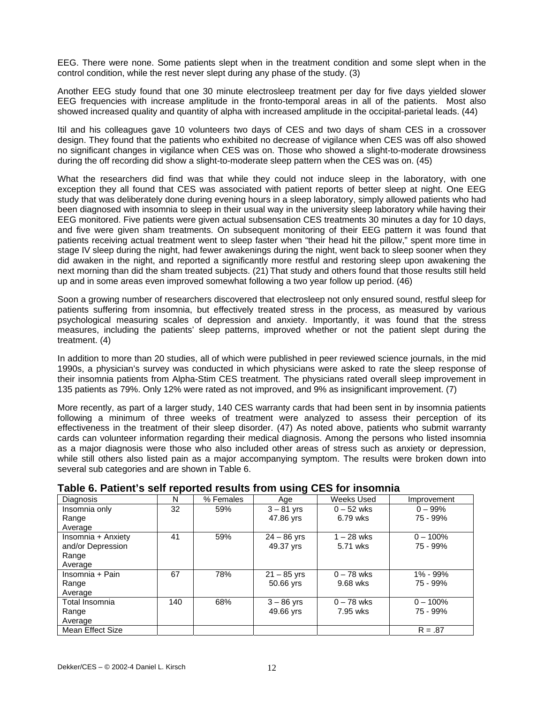EEG. There were none. Some patients slept when in the treatment condition and some slept when in the control condition, while the rest never slept during any phase of the study. (3)

Another EEG study found that one 30 minute electrosleep treatment per day for five days yielded slower EEG frequencies with increase amplitude in the fronto-temporal areas in all of the patients. Most also showed increased quality and quantity of alpha with increased amplitude in the occipital-parietal leads. (44)

Itil and his colleagues gave 10 volunteers two days of CES and two days of sham CES in a crossover design. They found that the patients who exhibited no decrease of vigilance when CES was off also showed no significant changes in vigilance when CES was on. Those who showed a slight-to-moderate drowsiness during the off recording did show a slight-to-moderate sleep pattern when the CES was on. (45)

What the researchers did find was that while they could not induce sleep in the laboratory, with one exception they all found that CES was associated with patient reports of better sleep at night. One EEG study that was deliberately done during evening hours in a sleep laboratory, simply allowed patients who had been diagnosed with insomnia to sleep in their usual way in the university sleep laboratory while having their EEG monitored. Five patients were given actual subsensation CES treatments 30 minutes a day for 10 days, and five were given sham treatments. On subsequent monitoring of their EEG pattern it was found that patients receiving actual treatment went to sleep faster when "their head hit the pillow," spent more time in stage IV sleep during the night, had fewer awakenings during the night, went back to sleep sooner when they did awaken in the night, and reported a significantly more restful and restoring sleep upon awakening the next morning than did the sham treated subjects. (21) That study and others found that those results still held up and in some areas even improved somewhat following a two year follow up period. (46)

Soon a growing number of researchers discovered that electrosleep not only ensured sound, restful sleep for patients suffering from insomnia, but effectively treated stress in the process, as measured by various psychological measuring scales of depression and anxiety. Importantly, it was found that the stress measures, including the patients' sleep patterns, improved whether or not the patient slept during the treatment. (4)

In addition to more than 20 studies, all of which were published in peer reviewed science journals, in the mid 1990s, a physician's survey was conducted in which physicians were asked to rate the sleep response of their insomnia patients from Alpha-Stim CES treatment. The physicians rated overall sleep improvement in 135 patients as 79%. Only 12% were rated as not improved, and 9% as insignificant improvement. (7)

More recently, as part of a larger study, 140 CES warranty cards that had been sent in by insomnia patients following a minimum of three weeks of treatment were analyzed to assess their perception of its effectiveness in the treatment of their sleep disorder. (47) As noted above, patients who submit warranty cards can volunteer information regarding their medical diagnosis. Among the persons who listed insomnia as a major diagnosis were those who also included other areas of stress such as anxiety or depression, while still others also listed pain as a major accompanying symptom. The results were broken down into several sub categories and are shown in Table 6.

| Diagnosis          | N   | % Females | Age           | Weeks Used   | Improvement |
|--------------------|-----|-----------|---------------|--------------|-------------|
| Insomnia only      | 32  | 59%       | $3 - 81$ yrs  | $0 - 52$ wks | $0 - 99%$   |
| Range              |     |           | 47.86 yrs     | 6.79 wks     | 75 - 99%    |
| Average            |     |           |               |              |             |
| Insomnia + Anxiety | 41  | 59%       | $24 - 86$ yrs | $1 - 28$ wks | $0 - 100\%$ |
| and/or Depression  |     |           | 49.37 yrs     | 5.71 wks     | 75 - 99%    |
| Range              |     |           |               |              |             |
| Average            |     |           |               |              |             |
| Insomnia + Pain    | 67  | 78%       | $21 - 85$ yrs | $0 - 78$ wks | 1% - 99%    |
| Range              |     |           | 50.66 yrs     | 9.68 wks     | 75 - 99%    |
| Average            |     |           |               |              |             |
| Total Insomnia     | 140 | 68%       | $3 - 86$ vrs  | $0 - 78$ wks | $0 - 100\%$ |
| Range              |     |           | 49.66 yrs     | 7.95 wks     | 75 - 99%    |
| Average            |     |           |               |              |             |
| Mean Effect Size   |     |           |               |              | $R = .87$   |

## **Table 6. Patient's self reported results from using CES for insomnia**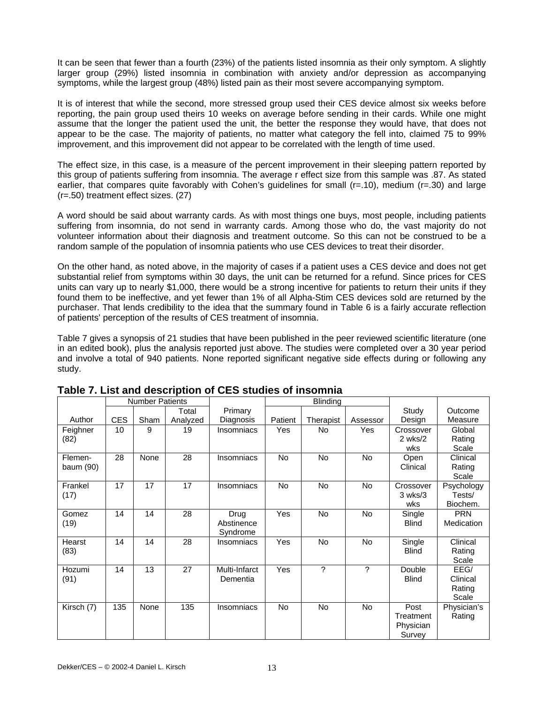It can be seen that fewer than a fourth (23%) of the patients listed insomnia as their only symptom. A slightly larger group (29%) listed insomnia in combination with anxiety and/or depression as accompanying symptoms, while the largest group (48%) listed pain as their most severe accompanying symptom.

It is of interest that while the second, more stressed group used their CES device almost six weeks before reporting, the pain group used theirs 10 weeks on average before sending in their cards. While one might assume that the longer the patient used the unit, the better the response they would have, that does not appear to be the case. The majority of patients, no matter what category the fell into, claimed 75 to 99% improvement, and this improvement did not appear to be correlated with the length of time used.

The effect size, in this case, is a measure of the percent improvement in their sleeping pattern reported by this group of patients suffering from insomnia. The average r effect size from this sample was .87. As stated earlier, that compares quite favorably with Cohen's guidelines for small (r=.10), medium (r=.30) and large (r=.50) treatment effect sizes. (27)

A word should be said about warranty cards. As with most things one buys, most people, including patients suffering from insomnia, do not send in warranty cards. Among those who do, the vast majority do not volunteer information about their diagnosis and treatment outcome. So this can not be construed to be a random sample of the population of insomnia patients who use CES devices to treat their disorder.

On the other hand, as noted above, in the majority of cases if a patient uses a CES device and does not get substantial relief from symptoms within 30 days, the unit can be returned for a refund. Since prices for CES units can vary up to nearly \$1,000, there would be a strong incentive for patients to return their units if they found them to be ineffective, and yet fewer than 1% of all Alpha-Stim CES devices sold are returned by the purchaser. That lends credibility to the idea that the summary found in Table 6 is a fairly accurate reflection of patients' perception of the results of CES treatment of insomnia.

Table 7 gives a synopsis of 21 studies that have been published in the peer reviewed scientific literature (one in an edited book), plus the analysis reported just above. The studies were completed over a 30 year period and involve a total of 940 patients. None reported significant negative side effects during or following any study.

|            |            | <b>Number Patients</b> |          |               |           | Blinding  |            |              |             |
|------------|------------|------------------------|----------|---------------|-----------|-----------|------------|--------------|-------------|
|            |            |                        | Total    | Primary       |           |           |            | Study        | Outcome     |
| Author     | <b>CES</b> | Sham                   | Analyzed | Diagnosis     | Patient   | Therapist | Assessor   | Design       | Measure     |
| Feighner   | 10         | 9                      | 19       | Insomniacs    | Yes       | No.       | <b>Yes</b> | Crossover    | Global      |
| (82)       |            |                        |          |               |           |           |            | 2 wks/2      | Rating      |
|            |            |                        |          |               |           |           |            | wks          | Scale       |
| Flemen-    | 28         | None                   | 28       | Insomniacs    | <b>No</b> | <b>No</b> | <b>No</b>  | Open         | Clinical    |
| baum (90)  |            |                        |          |               |           |           |            | Clinical     | Rating      |
|            |            |                        |          |               |           |           |            |              | Scale       |
| Frankel    | 17         | 17                     | 17       | Insomniacs    | <b>No</b> | <b>No</b> | <b>No</b>  | Crossover    | Psychology  |
| (17)       |            |                        |          |               |           |           |            | $3$ wks/ $3$ | Tests/      |
|            |            |                        |          |               |           |           |            | wks          | Biochem.    |
| Gomez      | 14         | 14                     | 28       | Drug          | Yes       | <b>No</b> | <b>No</b>  | Single       | <b>PRN</b>  |
| (19)       |            |                        |          | Abstinence    |           |           |            | <b>Blind</b> | Medication  |
|            |            |                        |          | Syndrome      |           |           |            |              |             |
| Hearst     | 14         | 14                     | 28       | Insomniacs    | Yes       | No        | No         | Single       | Clinical    |
| (83)       |            |                        |          |               |           |           |            | <b>Blind</b> | Rating      |
|            |            |                        |          |               |           |           |            |              | Scale       |
| Hozumi     | 14         | 13                     | 27       | Multi-Infarct | Yes       | ?         | $\gamma$   | Double       | EEG/        |
| (91)       |            |                        |          | Dementia      |           |           |            | <b>Blind</b> | Clinical    |
|            |            |                        |          |               |           |           |            |              | Rating      |
|            |            |                        |          |               |           |           |            |              | Scale       |
| Kirsch (7) | 135        | None                   | 135      | Insomniacs    | <b>No</b> | <b>No</b> | <b>No</b>  | Post         | Physician's |
|            |            |                        |          |               |           |           |            | Treatment    | Rating      |
|            |            |                        |          |               |           |           |            | Physician    |             |
|            |            |                        |          |               |           |           |            | Survey       |             |

**Table 7. List and description of CES studies of insomnia**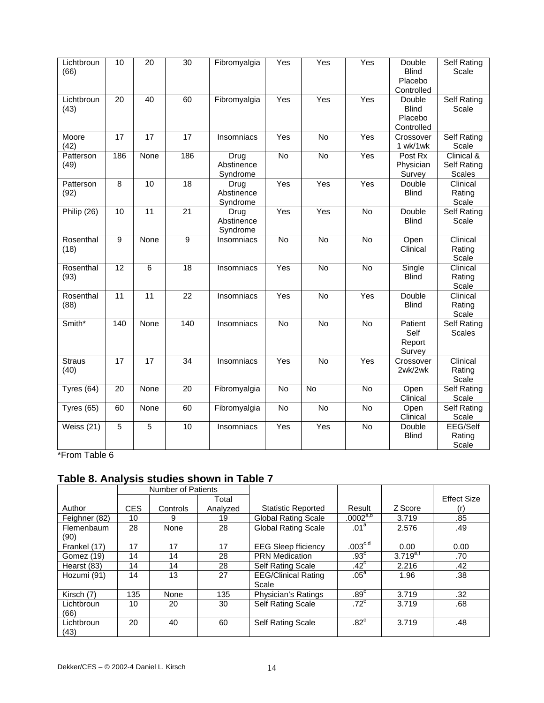| Lichtbroun<br>(66)    | 10              | 20              | $\overline{30}$ | Fibromyalgia                   | Yes            | Yes            | Yes            | Double<br><b>Blind</b><br>Placebo<br>Controlled | <b>Self Rating</b><br>Scale                |
|-----------------------|-----------------|-----------------|-----------------|--------------------------------|----------------|----------------|----------------|-------------------------------------------------|--------------------------------------------|
| Lichtbroun<br>(43)    | $\overline{20}$ | 40              | 60              | Fibromyalgia                   | Yes            | Yes            | Yes            | Double<br><b>Blind</b><br>Placebo<br>Controlled | <b>Self Rating</b><br>Scale                |
| Moore<br>(42)         | 17              | 17              | $\overline{17}$ | Insomniacs                     | Yes            | <b>No</b>      | Yes            | Crossover<br>1 wk/1wk                           | <b>Self Rating</b><br>Scale                |
| Patterson<br>(49)     | 186             | None            | 186             | Drug<br>Abstinence<br>Syndrome | $\overline{N}$ | No             | Yes            | Post Rx<br>Physician<br>Survey                  | Clinical &<br><b>Self Rating</b><br>Scales |
| Patterson<br>(92)     | $\overline{8}$  | 10              | 18              | Drug<br>Abstinence<br>Syndrome | Yes            | Yes            | Yes            | Double<br><b>Blind</b>                          | Clinical<br>Rating<br>Scale                |
| Philip (26)           | 10              | $\overline{11}$ | $\overline{21}$ | Drug<br>Abstinence<br>Syndrome | Yes            | Yes            | <b>No</b>      | Double<br><b>Blind</b>                          | <b>Self Rating</b><br>Scale                |
| Rosenthal<br>(18)     | $\overline{9}$  | None            | $\overline{9}$  | Insomniacs                     | <b>No</b>      | No             | No             | Open<br>Clinical                                | Clinical<br>Rating<br>Scale                |
| Rosenthal<br>(93)     | $\overline{12}$ | $\overline{6}$  | $\overline{18}$ | Insomniacs                     | Yes            | $\overline{N}$ | $\overline{N}$ | Single<br><b>Blind</b>                          | Clinical<br>Rating<br>Scale                |
| Rosenthal<br>(88)     | 11              | 11              | 22              | Insomniacs                     | Yes            | No             | Yes            | <b>Double</b><br><b>Blind</b>                   | Clinical<br>Rating<br>Scale                |
| Smith*                | 140             | None            | 140             | Insomniacs                     | $\overline{N}$ | No             | $\overline{N}$ | Patient<br>Self<br>Report<br>Survey             | <b>Self Rating</b><br><b>Scales</b>        |
| <b>Straus</b><br>(40) | $\overline{17}$ | $\overline{17}$ | $\overline{34}$ | Insomniacs                     | Yes            | No             | Yes            | Crossover<br>2wk/2wk                            | Clinical<br>Rating<br>Scale                |
| Tyres (64)            | $\overline{20}$ | None            | $\overline{20}$ | Fibromyalgia                   | $\overline{N}$ | $\overline{N}$ | $\overline{N}$ | Open<br>Clinical                                | Self Rating<br>Scale                       |
| Tyres $(65)$          | 60              | None            | 60              | Fibromyalgia                   | <b>No</b>      | $\overline{N}$ | $\overline{N}$ | Open<br>Clinical                                | <b>Self Rating</b><br>Scale                |
| Weiss (21)            | $\overline{5}$  | $\overline{5}$  | 10              | Insomniacs                     | Yes            | Yes            | $\overline{N}$ | Double<br><b>Blind</b>                          | <b>EEG/Self</b><br>Rating<br>Scale         |

\*From Table 6

## **Table 8. Analysis studies shown in Table 7**

|               |            | <b>Number of Patients</b> |          |                            |                     |               |                    |
|---------------|------------|---------------------------|----------|----------------------------|---------------------|---------------|--------------------|
|               |            |                           | Total    |                            |                     |               | <b>Effect Size</b> |
| Author        | <b>CES</b> | Controls                  | Analyzed | <b>Statistic Reported</b>  | Result              | Z Score       | (r)                |
| Feighner (82) | 10         | 9                         | 19       | <b>Global Rating Scale</b> | $.0002^{a,b}$       | 3.719         | .85                |
| Flemenbaum    | 28         | None                      | 28       | <b>Global Rating Scale</b> | .01 <sup>a</sup>    | 2.576         | .49                |
| (90)          |            |                           |          |                            |                     |               |                    |
| Frankel (17)  | 17         | 17                        | 17       | <b>EEG Sleep fficiency</b> | .003 <sup>c,d</sup> | 0.00          | 0.00               |
| Gomez (19)    | 14         | 14                        | 28       | <b>PRN Medication</b>      | .93 <sup>c</sup>    | $3.719^{e,f}$ | .70                |
| Hearst (83)   | 14         | 14                        | 28       | Self Rating Scale          | $.42^{\circ}$       | 2.216         | .42                |
| Hozumi (91)   | 14         | 13                        | 27       | <b>EEG/Clinical Rating</b> | .05 <sup>a</sup>    | 1.96          | .38                |
|               |            |                           |          | Scale                      |                     |               |                    |
| Kirsch (7)    | 135        | None                      | 135      | Physician's Ratings        | .89 <sup>c</sup>    | 3.719         | .32                |
| Lichtbroun    | 10         | 20                        | 30       | <b>Self Rating Scale</b>   | $.72^{\circ}$       | 3.719         | .68                |
| (66)          |            |                           |          |                            |                     |               |                    |
| Lichtbroun    | 20         | 40                        | 60       | Self Rating Scale          | $.82^{\circ}$       | 3.719         | .48                |
| (43)          |            |                           |          |                            |                     |               |                    |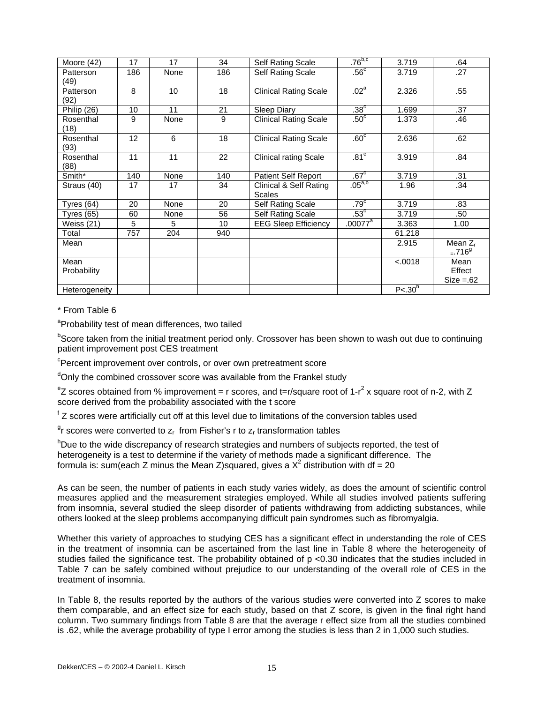| Moore (42)        | 17  | 17   | 34               | Self Rating Scale                       | $.76^{b,c}$           | 3.719              | .64                 |
|-------------------|-----|------|------------------|-----------------------------------------|-----------------------|--------------------|---------------------|
| Patterson         | 186 | None | 186              | Self Rating Scale                       | .56 <sup>c</sup>      | 3.719              | .27                 |
| (49)              |     |      |                  |                                         |                       |                    |                     |
| Patterson         | 8   | 10   | 18               | <b>Clinical Rating Scale</b>            | .02 <sup>a</sup>      | 2.326              | .55                 |
| (92)              |     |      |                  |                                         |                       |                    |                     |
| Philip (26)       | 10  | 11   | 21               | Sleep Diary                             | .38 <sup>c</sup>      | 1.699              | .37                 |
| Rosenthal<br>(18) | 9   | None | 9                | <b>Clinical Rating Scale</b>            | .50 <sup>c</sup>      | 1.373              | .46                 |
| Rosenthal<br>(93) | 12  | 6    | 18               | <b>Clinical Rating Scale</b>            | .60 <sup>c</sup>      | 2.636              | .62                 |
| Rosenthal<br>(88) | 11  | 11   | 22               | <b>Clinical rating Scale</b>            | .81 <sup>c</sup>      | 3.919              | .84                 |
| Smith*            | 140 | None | 140              | <b>Patient Self Report</b>              | .67 <sup>c</sup>      | 3.719              | .31                 |
| Straus (40)       | 17  | 17   | 34               | Clinical & Self Rating<br><b>Scales</b> | $.05^{\rm a,b}$       | 1.96               | .34                 |
| Tyres (64)        | 20  | None | 20               | Self Rating Scale                       | .79 <sup>c</sup>      | 3.719              | .83                 |
| Tyres (65)        | 60  | None | 56               | Self Rating Scale                       | $.53^{\circ}$         | 3.719              | .50                 |
| Weiss (21)        | 5   | 5    | 10 <sup>10</sup> | <b>EEG Sleep Efficiency</b>             | $.00077$ <sup>a</sup> | 3.363              | 1.00                |
| Total             | 757 | 204  | 940              |                                         |                       | 61.218             |                     |
| Mean              |     |      |                  |                                         |                       | 2.915              | Mean Z <sub>r</sub> |
|                   |     |      |                  |                                         |                       |                    | $=.716^9$           |
| Mean              |     |      |                  |                                         |                       | < .0018            | Mean                |
| Probability       |     |      |                  |                                         |                       |                    | Effect              |
|                   |     |      |                  |                                         |                       |                    | $Size = 62$         |
| Heterogeneity     |     |      |                  |                                         |                       | P<.30 <sup>h</sup> |                     |

\* From Table 6

<sup>a</sup>Probability test of mean differences, two tailed

<sup>b</sup>Score taken from the initial treatment period only. Crossover has been shown to wash out due to continuing patient improvement post CES treatment

<sup>c</sup>Percent improvement over controls, or over own pretreatment score

<sup>d</sup>Only the combined crossover score was available from the Frankel study

 $^e$ Z scores obtained from % improvement = r scores, and t=r/square root of 1-r<sup>2</sup> x square root of n-2, with Z score derived from the probability associated with the t score

<sup>f</sup> Z scores were artificially cut off at this level due to limitations of the conversion tables used

 $9r$  scores were converted to  $z_r$  from Fisher's r to  $z_r$  transformation tables

<sup>h</sup>Due to the wide discrepancy of research strategies and numbers of subjects reported, the test of heterogeneity is a test to determine if the variety of methods made a significant difference. The formula is: sum(each Z minus the Mean Z)squared, gives a  $X^2$  distribution with df = 20

As can be seen, the number of patients in each study varies widely, as does the amount of scientific control measures applied and the measurement strategies employed. While all studies involved patients suffering from insomnia, several studied the sleep disorder of patients withdrawing from addicting substances, while others looked at the sleep problems accompanying difficult pain syndromes such as fibromyalgia.

Whether this variety of approaches to studying CES has a significant effect in understanding the role of CES in the treatment of insomnia can be ascertained from the last line in Table 8 where the heterogeneity of studies failed the significance test. The probability obtained of p <0.30 indicates that the studies included in Table 7 can be safely combined without prejudice to our understanding of the overall role of CES in the treatment of insomnia.

In Table 8, the results reported by the authors of the various studies were converted into Z scores to make them comparable, and an effect size for each study, based on that Z score, is given in the final right hand column. Two summary findings from Table 8 are that the average r effect size from all the studies combined is .62, while the average probability of type I error among the studies is less than 2 in 1,000 such studies.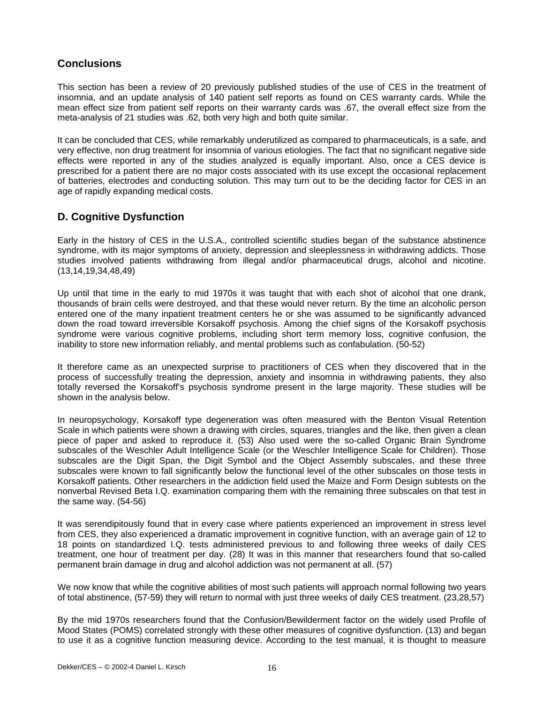## **Conclusions**

This section has been a review of 20 previously published studies of the use of CES in the treatment of insomnia, and an update analysis of 140 patient self reports as found on CES warranty cards. While the mean effect size from patient self reports on their warranty cards was .67, the overall effect size from the meta-analysis of 21 studies was .62, both very high and both quite similar.

It can be concluded that CES, while remarkably underutilized as compared to pharmaceuticals, is a safe, and very effective, non drug treatment for insomnia of various etiologies. The fact that no significant negative side effects were reported in any of the studies analyzed is equally important. Also, once a CES device is prescribed for a patient there are no major costs associated with its use except the occasional replacement of batteries, electrodes and conducting solution. This may turn out to be the deciding factor for CES in an age of rapidly expanding medical costs.

## **D. Cognitive Dysfunction**

Early in the history of CES in the U.S.A., controlled scientific studies began of the substance abstinence syndrome, with its major symptoms of anxiety, depression and sleeplessness in withdrawing addicts. Those studies involved patients withdrawing from illegal and/or pharmaceutical drugs, alcohol and nicotine. (13,14,19,34,48,49)

Up until that time in the early to mid 1970s it was taught that with each shot of alcohol that one drank, thousands of brain cells were destroyed, and that these would never return. By the time an alcoholic person entered one of the many inpatient treatment centers he or she was assumed to be significantly advanced down the road toward irreversible Korsakoff psychosis. Among the chief signs of the Korsakoff psychosis syndrome were various cognitive problems, including short term memory loss, cognitive confusion, the inability to store new information reliably, and mental problems such as confabulation. (50-52)

It therefore came as an unexpected surprise to practitioners of CES when they discovered that in the process of successfully treating the depression, anxiety and insomnia in withdrawing patients, they also totally reversed the Korsakoff's psychosis syndrome present in the large majority. These studies will be shown in the analysis below.

In neuropsychology, Korsakoff type degeneration was often measured with the Benton Visual Retention Scale in which patients were shown a drawing with circles, squares, triangles and the like, then given a clean piece of paper and asked to reproduce it. (53) Also used were the so-called Organic Brain Syndrome subscales of the Weschler Adult Intelligence Scale (or the Weschler Intelligence Scale for Children). Those subscales are the Digit Span, the Digit Symbol and the Object Assembly subscales, and these three subscales were known to fall significantly below the functional level of the other subscales on those tests in Korsakoff patients. Other researchers in the addiction field used the Maize and Form Design subtests on the nonverbal Revised Beta I.Q. examination comparing them with the remaining three subscales on that test in the same way. (54-56)

It was serendipitously found that in every case where patients experienced an improvement in stress level from CES, they also experienced a dramatic improvement in cognitive function, with an average gain of 12 to 18 points on standardized I.Q. tests administered previous to and following three weeks of daily CES treatment, one hour of treatment per day. (28) It was in this manner that researchers found that so-called permanent brain damage in drug and alcohol addiction was not permanent at all. (57)

We now know that while the cognitive abilities of most such patients will approach normal following two years of total abstinence, (57-59) they will return to normal with just three weeks of daily CES treatment. (23,28,57)

By the mid 1970s researchers found that the Confusion/Bewilderment factor on the widely used Profile of Mood States (POMS) correlated strongly with these other measures of cognitive dysfunction. (13) and began to use it as a cognitive function measuring device. According to the test manual, it is thought to measure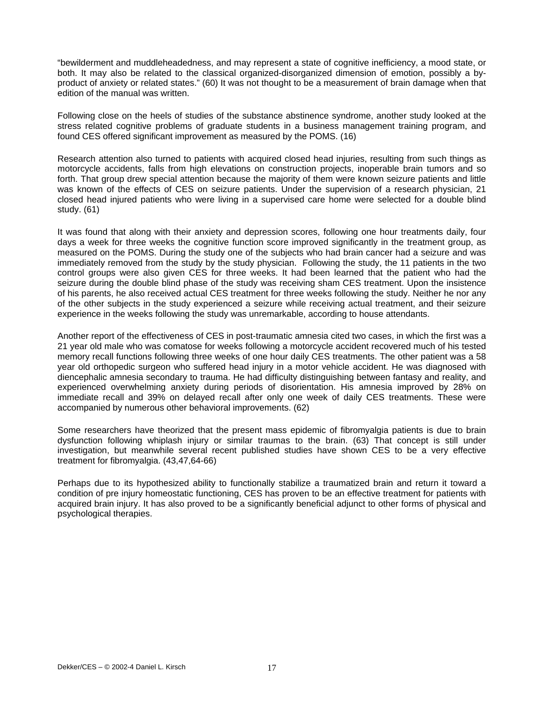"bewilderment and muddleheadedness, and may represent a state of cognitive inefficiency, a mood state, or both. It may also be related to the classical organized-disorganized dimension of emotion, possibly a byproduct of anxiety or related states." (60) It was not thought to be a measurement of brain damage when that edition of the manual was written.

Following close on the heels of studies of the substance abstinence syndrome, another study looked at the stress related cognitive problems of graduate students in a business management training program, and found CES offered significant improvement as measured by the POMS. (16)

Research attention also turned to patients with acquired closed head injuries, resulting from such things as motorcycle accidents, falls from high elevations on construction projects, inoperable brain tumors and so forth. That group drew special attention because the majority of them were known seizure patients and little was known of the effects of CES on seizure patients. Under the supervision of a research physician, 21 closed head injured patients who were living in a supervised care home were selected for a double blind study. (61)

It was found that along with their anxiety and depression scores, following one hour treatments daily, four days a week for three weeks the cognitive function score improved significantly in the treatment group, as measured on the POMS. During the study one of the subjects who had brain cancer had a seizure and was immediately removed from the study by the study physician. Following the study, the 11 patients in the two control groups were also given CES for three weeks. It had been learned that the patient who had the seizure during the double blind phase of the study was receiving sham CES treatment. Upon the insistence of his parents, he also received actual CES treatment for three weeks following the study. Neither he nor any of the other subjects in the study experienced a seizure while receiving actual treatment, and their seizure experience in the weeks following the study was unremarkable, according to house attendants.

Another report of the effectiveness of CES in post-traumatic amnesia cited two cases, in which the first was a 21 year old male who was comatose for weeks following a motorcycle accident recovered much of his tested memory recall functions following three weeks of one hour daily CES treatments. The other patient was a 58 year old orthopedic surgeon who suffered head injury in a motor vehicle accident. He was diagnosed with diencephalic amnesia secondary to trauma. He had difficulty distinguishing between fantasy and reality, and experienced overwhelming anxiety during periods of disorientation. His amnesia improved by 28% on immediate recall and 39% on delayed recall after only one week of daily CES treatments. These were accompanied by numerous other behavioral improvements. (62)

Some researchers have theorized that the present mass epidemic of fibromyalgia patients is due to brain dysfunction following whiplash injury or similar traumas to the brain. (63) That concept is still under investigation, but meanwhile several recent published studies have shown CES to be a very effective treatment for fibromyalgia. (43,47,64-66)

Perhaps due to its hypothesized ability to functionally stabilize a traumatized brain and return it toward a condition of pre injury homeostatic functioning, CES has proven to be an effective treatment for patients with acquired brain injury. It has also proved to be a significantly beneficial adjunct to other forms of physical and psychological therapies.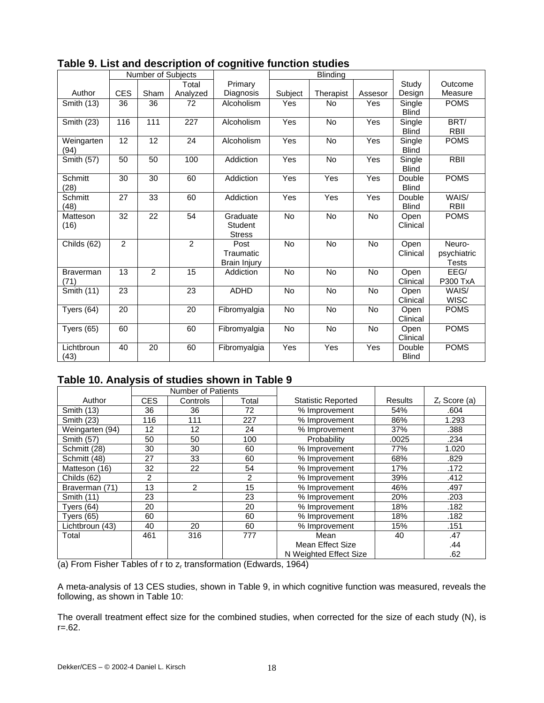| rapie 9. List and description or cognitive ranction studies |                    |                |                 |                                             |                 |           |           |                        |                                |
|-------------------------------------------------------------|--------------------|----------------|-----------------|---------------------------------------------|-----------------|-----------|-----------|------------------------|--------------------------------|
|                                                             | Number of Subjects |                |                 |                                             | <b>Blinding</b> |           |           |                        |                                |
|                                                             |                    |                | Total           | Primary                                     |                 |           |           | Study                  | Outcome                        |
| Author                                                      | <b>CES</b>         | Sham           | Analyzed        | Diagnosis                                   | Subject         | Therapist | Assesor   | Design                 | Measure                        |
| Smith (13)                                                  | 36                 | 36             | 72              | Alcoholism                                  | Yes             | No        | Yes       | Single<br><b>Blind</b> | <b>POMS</b>                    |
| Smith (23)                                                  | 116                | 111            | 227             | Alcoholism                                  | Yes             | No        | Yes       | Single<br><b>Blind</b> | BRT/<br><b>RBII</b>            |
| Weingarten<br>(94)                                          | 12                 | 12             | 24              | Alcoholism                                  | Yes             | No        | Yes       | Single<br><b>Blind</b> | <b>POMS</b>                    |
| <b>Smith (57)</b>                                           | 50                 | 50             | 100             | Addiction                                   | Yes             | No        | Yes       | Single<br><b>Blind</b> | R <sub>BI</sub>                |
| Schmitt<br>(28)                                             | 30                 | 30             | 60              | Addiction                                   | Yes             | Yes       | Yes       | Double<br><b>Blind</b> | <b>POMS</b>                    |
| <b>Schmitt</b><br>(48)                                      | 27                 | 33             | 60              | Addiction                                   | Yes             | Yes       | Yes       | Double<br><b>Blind</b> | WAIS/<br><b>RBII</b>           |
| Matteson<br>(16)                                            | 32                 | 22             | 54              | Graduate<br><b>Student</b><br><b>Stress</b> | No              | No        | No        | Open<br>Clinical       | <b>POMS</b>                    |
| Childs (62)                                                 | 2                  |                | $\overline{2}$  | Post<br>Traumatic<br>Brain Injury           | No              | No        | No        | Open<br>Clinical       | Neuro-<br>psychiatric<br>Tests |
| <b>Braverman</b><br>(71)                                    | 13                 | $\overline{2}$ | $\overline{15}$ | Addiction                                   | No              | No        | No        | Open<br>Clinical       | EEG/<br><b>P300 TxA</b>        |
| Smith (11)                                                  | 23                 |                | 23              | <b>ADHD</b>                                 | <b>No</b>       | <b>No</b> | <b>No</b> | Open<br>Clinical       | WAIS/<br><b>WISC</b>           |
| Tyers $(64)$                                                | 20                 |                | 20              | Fibromyalgia                                | No              | No        | <b>No</b> | Open<br>Clinical       | <b>POMS</b>                    |
| Tyers $(65)$                                                | 60                 |                | 60              | Fibromyalgia                                | <b>No</b>       | No        | <b>No</b> | Open<br>Clinical       | <b>POMS</b>                    |
| Lichtbroun<br>(43)                                          | 40                 | 20             | 60              | Fibromyalgia                                | Yes             | Yes       | Yes       | Double<br><b>Blind</b> | <b>POMS</b>                    |

## **Table 9. List and description of cognitive function studies**

## **Table 10. Analysis of studies shown in Table 9**

|                   | <b>Number of Patients</b> |          |       |                           |                |                |
|-------------------|---------------------------|----------|-------|---------------------------|----------------|----------------|
| Author            | <b>CES</b>                | Controls | Total | <b>Statistic Reported</b> | <b>Results</b> | $Zr$ Score (a) |
| Smith (13)        | 36                        | 36       | 72    | % Improvement             | 54%            | .604           |
| Smith (23)        | 116                       | 111      | 227   | % Improvement             | 86%            | 1.293          |
| Weingarten (94)   | 12                        | 12       | 24    | % Improvement             | 37%            | .388           |
| Smith (57)        | 50                        | 50       | 100   | Probability               | .0025          | .234           |
| Schmitt (28)      | 30                        | 30       | 60    | % Improvement             | 77%            | 1.020          |
| Schmitt (48)      | 27                        | 33       | 60    | % Improvement             | 68%            | .829           |
| Matteson (16)     | 32                        | 22       | 54    | % Improvement             | 17%            | .172           |
| Childs (62)       | 2                         |          | 2     | % Improvement             | 39%            | .412           |
| Braverman (71)    | 13                        | 2        | 15    | % Improvement             | 46%            | .497           |
| Smith (11)        | 23                        |          | 23    | % Improvement             | 20%            | .203           |
| Tyers (64)        | 20                        |          | 20    | % Improvement             | 18%            | .182           |
| <b>Tyers (65)</b> | 60                        |          | 60    | % Improvement             | 18%            | .182           |
| Lichtbroun (43)   | 40                        | 20       | 60    | % Improvement             | 15%            | .151           |
| Total             | 461                       | 316      | 777   | Mean                      | 40             | .47            |
|                   |                           |          |       | Mean Effect Size          |                | .44            |
|                   |                           |          |       | N Weighted Effect Size    |                | .62            |

(a) From Fisher Tables of r to  $z_r$  transformation (Edwards, 1964)

A meta-analysis of 13 CES studies, shown in Table 9, in which cognitive function was measured, reveals the following, as shown in Table 10:

The overall treatment effect size for the combined studies, when corrected for the size of each study (N), is  $r = .62.$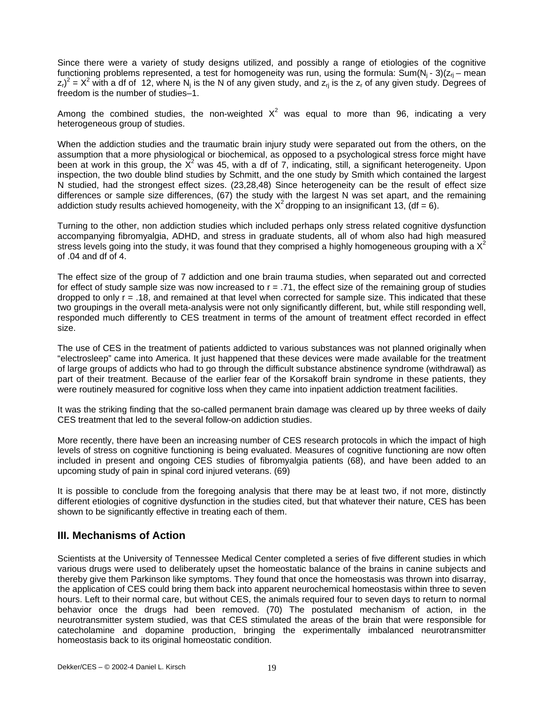Since there were a variety of study designs utilized, and possibly a range of etiologies of the cognitive functioning problems represented, a test for homogeneity was run, using the formula:  $Sum(N_i - 3)(z_i - mean)$  $z_0^2 = X^2$  with a df of 12, where N<sub>i</sub> is the N of any given study, and  $z_0$  is the  $z_0$  of any given study. Degrees of freedom is the number of studies–1.

Among the combined studies, the non-weighted  $X^2$  was equal to more than 96, indicating a very heterogeneous group of studies.

When the addiction studies and the traumatic brain injury study were separated out from the others, on the assumption that a more physiological or biochemical, as opposed to a psychological stress force might have been at work in this group, the  $X^2$  was 45, with a df of 7, indicating, still, a significant heterogeneity. Upon inspection, the two double blind studies by Schmitt, and the one study by Smith which contained the largest N studied, had the strongest effect sizes. (23,28,48) Since heterogeneity can be the result of effect size differences or sample size differences, (67) the study with the largest N was set apart, and the remaining addiction study results achieved homogeneity, with the  $X^2$  dropping to an insignificant 13, (df = 6).

Turning to the other, non addiction studies which included perhaps only stress related cognitive dysfunction accompanying fibromyalgia, ADHD, and stress in graduate students, all of whom also had high measured stress levels going into the study, it was found that they comprised a highly homogeneous grouping with a  $X^2$ of .04 and df of 4.

The effect size of the group of 7 addiction and one brain trauma studies, when separated out and corrected for effect of study sample size was now increased to  $r = .71$ , the effect size of the remaining group of studies dropped to only r = .18, and remained at that level when corrected for sample size. This indicated that these two groupings in the overall meta-analysis were not only significantly different, but, while still responding well, responded much differently to CES treatment in terms of the amount of treatment effect recorded in effect size.

The use of CES in the treatment of patients addicted to various substances was not planned originally when "electrosleep" came into America. It just happened that these devices were made available for the treatment of large groups of addicts who had to go through the difficult substance abstinence syndrome (withdrawal) as part of their treatment. Because of the earlier fear of the Korsakoff brain syndrome in these patients, they were routinely measured for cognitive loss when they came into inpatient addiction treatment facilities.

It was the striking finding that the so-called permanent brain damage was cleared up by three weeks of daily CES treatment that led to the several follow-on addiction studies.

More recently, there have been an increasing number of CES research protocols in which the impact of high levels of stress on cognitive functioning is being evaluated. Measures of cognitive functioning are now often included in present and ongoing CES studies of fibromyalgia patients (68), and have been added to an upcoming study of pain in spinal cord injured veterans. (69)

It is possible to conclude from the foregoing analysis that there may be at least two, if not more, distinctly different etiologies of cognitive dysfunction in the studies cited, but that whatever their nature, CES has been shown to be significantly effective in treating each of them.

## **III. Mechanisms of Action**

Scientists at the University of Tennessee Medical Center completed a series of five different studies in which various drugs were used to deliberately upset the homeostatic balance of the brains in canine subjects and thereby give them Parkinson like symptoms. They found that once the homeostasis was thrown into disarray, the application of CES could bring them back into apparent neurochemical homeostasis within three to seven hours. Left to their normal care, but without CES, the animals required four to seven days to return to normal behavior once the drugs had been removed. (70) The postulated mechanism of action, in the neurotransmitter system studied, was that CES stimulated the areas of the brain that were responsible for catecholamine and dopamine production, bringing the experimentally imbalanced neurotransmitter homeostasis back to its original homeostatic condition.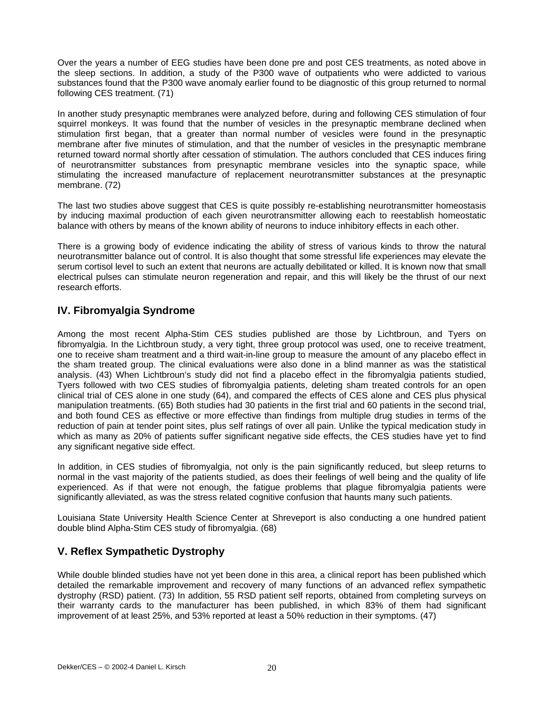Over the years a number of EEG studies have been done pre and post CES treatments, as noted above in the sleep sections. In addition, a study of the P300 wave of outpatients who were addicted to various substances found that the P300 wave anomaly earlier found to be diagnostic of this group returned to normal following CES treatment. (71)

In another study presynaptic membranes were analyzed before, during and following CES stimulation of four squirrel monkeys. It was found that the number of vesicles in the presynaptic membrane declined when stimulation first began, that a greater than normal number of vesicles were found in the presynaptic membrane after five minutes of stimulation, and that the number of vesicles in the presynaptic membrane returned toward normal shortly after cessation of stimulation. The authors concluded that CES induces firing of neurotransmitter substances from presynaptic membrane vesicles into the synaptic space, while stimulating the increased manufacture of replacement neurotransmitter substances at the presynaptic membrane. (72)

The last two studies above suggest that CES is quite possibly re-establishing neurotransmitter homeostasis by inducing maximal production of each given neurotransmitter allowing each to reestablish homeostatic balance with others by means of the known ability of neurons to induce inhibitory effects in each other.

There is a growing body of evidence indicating the ability of stress of various kinds to throw the natural neurotransmitter balance out of control. It is also thought that some stressful life experiences may elevate the serum cortisol level to such an extent that neurons are actually debilitated or killed. It is known now that small electrical pulses can stimulate neuron regeneration and repair, and this will likely be the thrust of our next research efforts.

## **IV. Fibromyalgia Syndrome**

Among the most recent Alpha-Stim CES studies published are those by Lichtbroun, and Tyers on fibromyalgia. In the Lichtbroun study, a very tight, three group protocol was used, one to receive treatment, one to receive sham treatment and a third wait-in-line group to measure the amount of any placebo effect in the sham treated group. The clinical evaluations were also done in a blind manner as was the statistical analysis. (43) When Lichtbroun's study did not find a placebo effect in the fibromyalgia patients studied, Tyers followed with two CES studies of fibromyalgia patients, deleting sham treated controls for an open clinical trial of CES alone in one study (64), and compared the effects of CES alone and CES plus physical manipulation treatments. (65) Both studies had 30 patients in the first trial and 60 patients in the second trial, and both found CES as effective or more effective than findings from multiple drug studies in terms of the reduction of pain at tender point sites, plus self ratings of over all pain. Unlike the typical medication study in which as many as 20% of patients suffer significant negative side effects, the CES studies have yet to find any significant negative side effect.

In addition, in CES studies of fibromyalgia, not only is the pain significantly reduced, but sleep returns to normal in the vast majority of the patients studied, as does their feelings of well being and the quality of life experienced. As if that were not enough, the fatigue problems that plague fibromyalgia patients were significantly alleviated, as was the stress related cognitive confusion that haunts many such patients.

Louisiana State University Health Science Center at Shreveport is also conducting a one hundred patient double blind Alpha-Stim CES study of fibromyalgia. (68)

## **V. Reflex Sympathetic Dystrophy**

While double blinded studies have not yet been done in this area, a clinical report has been published which detailed the remarkable improvement and recovery of many functions of an advanced reflex sympathetic dystrophy (RSD) patient. (73) In addition, 55 RSD patient self reports, obtained from completing surveys on their warranty cards to the manufacturer has been published, in which 83% of them had significant improvement of at least 25%, and 53% reported at least a 50% reduction in their symptoms. (47)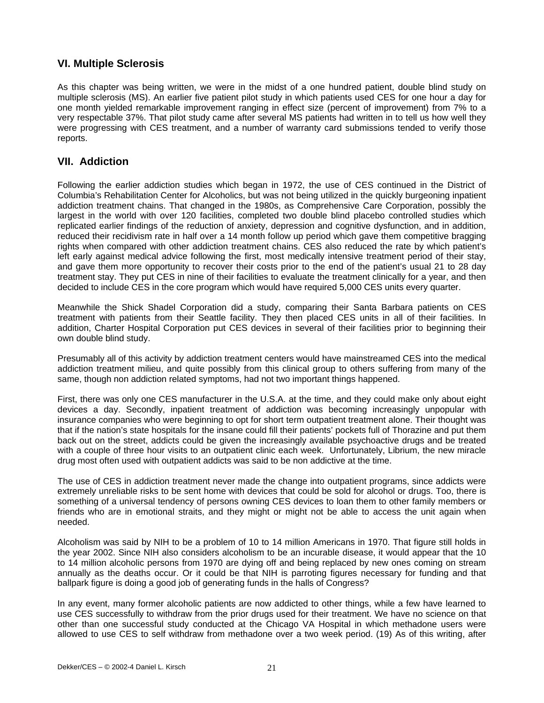## **VI. Multiple Sclerosis**

As this chapter was being written, we were in the midst of a one hundred patient, double blind study on multiple sclerosis (MS). An earlier five patient pilot study in which patients used CES for one hour a day for one month yielded remarkable improvement ranging in effect size (percent of improvement) from 7% to a very respectable 37%. That pilot study came after several MS patients had written in to tell us how well they were progressing with CES treatment, and a number of warranty card submissions tended to verify those reports.

## **VII. Addiction**

Following the earlier addiction studies which began in 1972, the use of CES continued in the District of Columbia's Rehabilitation Center for Alcoholics, but was not being utilized in the quickly burgeoning inpatient addiction treatment chains. That changed in the 1980s, as Comprehensive Care Corporation, possibly the largest in the world with over 120 facilities, completed two double blind placebo controlled studies which replicated earlier findings of the reduction of anxiety, depression and cognitive dysfunction, and in addition, reduced their recidivism rate in half over a 14 month follow up period which gave them competitive bragging rights when compared with other addiction treatment chains. CES also reduced the rate by which patient's left early against medical advice following the first, most medically intensive treatment period of their stay, and gave them more opportunity to recover their costs prior to the end of the patient's usual 21 to 28 day treatment stay. They put CES in nine of their facilities to evaluate the treatment clinically for a year, and then decided to include CES in the core program which would have required 5,000 CES units every quarter.

Meanwhile the Shick Shadel Corporation did a study, comparing their Santa Barbara patients on CES treatment with patients from their Seattle facility. They then placed CES units in all of their facilities. In addition, Charter Hospital Corporation put CES devices in several of their facilities prior to beginning their own double blind study.

Presumably all of this activity by addiction treatment centers would have mainstreamed CES into the medical addiction treatment milieu, and quite possibly from this clinical group to others suffering from many of the same, though non addiction related symptoms, had not two important things happened.

First, there was only one CES manufacturer in the U.S.A. at the time, and they could make only about eight devices a day. Secondly, inpatient treatment of addiction was becoming increasingly unpopular with insurance companies who were beginning to opt for short term outpatient treatment alone. Their thought was that if the nation's state hospitals for the insane could fill their patients' pockets full of Thorazine and put them back out on the street, addicts could be given the increasingly available psychoactive drugs and be treated with a couple of three hour visits to an outpatient clinic each week. Unfortunately, Librium, the new miracle drug most often used with outpatient addicts was said to be non addictive at the time.

The use of CES in addiction treatment never made the change into outpatient programs, since addicts were extremely unreliable risks to be sent home with devices that could be sold for alcohol or drugs. Too, there is something of a universal tendency of persons owning CES devices to loan them to other family members or friends who are in emotional straits, and they might or might not be able to access the unit again when needed.

Alcoholism was said by NIH to be a problem of 10 to 14 million Americans in 1970. That figure still holds in the year 2002. Since NIH also considers alcoholism to be an incurable disease, it would appear that the 10 to 14 million alcoholic persons from 1970 are dying off and being replaced by new ones coming on stream annually as the deaths occur. Or it could be that NIH is parroting figures necessary for funding and that ballpark figure is doing a good job of generating funds in the halls of Congress?

In any event, many former alcoholic patients are now addicted to other things, while a few have learned to use CES successfully to withdraw from the prior drugs used for their treatment. We have no science on that other than one successful study conducted at the Chicago VA Hospital in which methadone users were allowed to use CES to self withdraw from methadone over a two week period. (19) As of this writing, after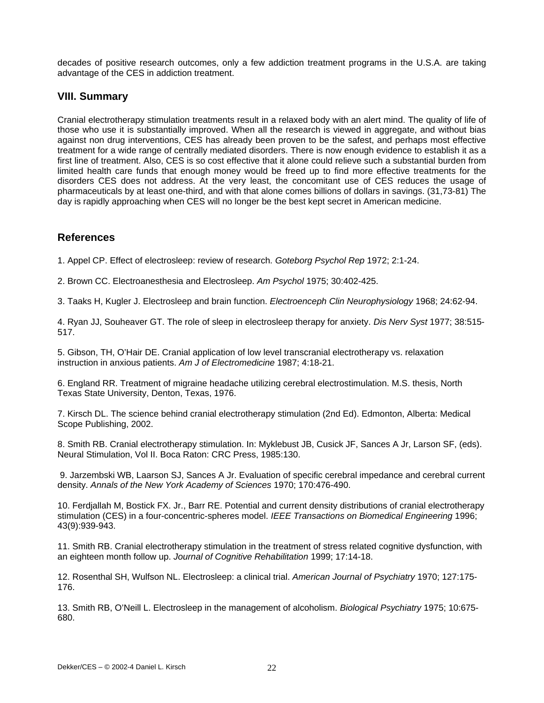decades of positive research outcomes, only a few addiction treatment programs in the U.S.A. are taking advantage of the CES in addiction treatment.

## **VIII. Summary**

Cranial electrotherapy stimulation treatments result in a relaxed body with an alert mind. The quality of life of those who use it is substantially improved. When all the research is viewed in aggregate, and without bias against non drug interventions, CES has already been proven to be the safest, and perhaps most effective treatment for a wide range of centrally mediated disorders. There is now enough evidence to establish it as a first line of treatment. Also, CES is so cost effective that it alone could relieve such a substantial burden from limited health care funds that enough money would be freed up to find more effective treatments for the disorders CES does not address. At the very least, the concomitant use of CES reduces the usage of pharmaceuticals by at least one-third, and with that alone comes billions of dollars in savings. (31,73-81) The day is rapidly approaching when CES will no longer be the best kept secret in American medicine.

## **References**

1. Appel CP. Effect of electrosleep: review of research. *Goteborg Psychol Rep* 1972; 2:1-24.

2. Brown CC. Electroanesthesia and Electrosleep. *Am Psychol* 1975; 30:402-425.

3. Taaks H, Kugler J. Electrosleep and brain function. *Electroenceph Clin Neurophysiology* 1968; 24:62-94.

4. Ryan JJ, Souheaver GT. The role of sleep in electrosleep therapy for anxiety. *Dis Nerv Syst* 1977; 38:515- 517.

5. Gibson, TH, O'Hair DE. Cranial application of low level transcranial electrotherapy vs. relaxation instruction in anxious patients. *Am J of Electromedicine* 1987; 4:18-21.

6. England RR. Treatment of migraine headache utilizing cerebral electrostimulation. M.S. thesis, North Texas State University, Denton, Texas, 1976.

7. Kirsch DL. The science behind cranial electrotherapy stimulation (2nd Ed). Edmonton, Alberta: Medical Scope Publishing, 2002.

8. Smith RB. Cranial electrotherapy stimulation. In: Myklebust JB, Cusick JF, Sances A Jr, Larson SF, (eds). Neural Stimulation, Vol II. Boca Raton: CRC Press, 1985:130.

 9. Jarzembski WB, Laarson SJ, Sances A Jr. Evaluation of specific cerebral impedance and cerebral current density. *Annals of the New York Academy of Sciences* 1970; 170:476-490.

10. Ferdjallah M, Bostick FX. Jr., Barr RE. Potential and current density distributions of cranial electrotherapy stimulation (CES) in a four-concentric-spheres model. *IEEE Transactions on Biomedical Engineering* 1996; 43(9):939-943.

11. Smith RB. Cranial electrotherapy stimulation in the treatment of stress related cognitive dysfunction, with an eighteen month follow up. *Journal of Cognitive Rehabilitation* 1999; 17:14-18.

12. Rosenthal SH, Wulfson NL. Electrosleep: a clinical trial. *American Journal of Psychiatry* 1970; 127:175- 176.

13. Smith RB, O'Neill L. Electrosleep in the management of alcoholism. *Biological Psychiatry* 1975; 10:675- 680.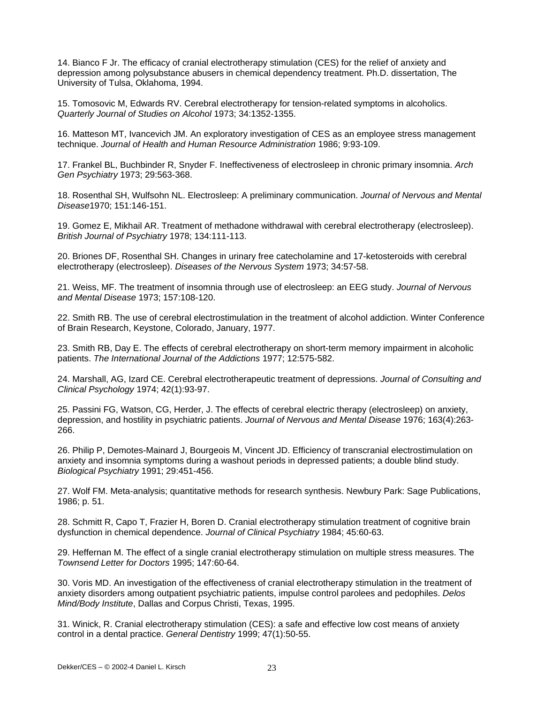14. Bianco F Jr. The efficacy of cranial electrotherapy stimulation (CES) for the relief of anxiety and depression among polysubstance abusers in chemical dependency treatment. Ph.D. dissertation, The University of Tulsa, Oklahoma, 1994.

15. Tomosovic M, Edwards RV. Cerebral electrotherapy for tension-related symptoms in alcoholics. *Quarterly Journal of Studies on Alcohol* 1973; 34:1352-1355.

16. Matteson MT, Ivancevich JM. An exploratory investigation of CES as an employee stress management technique. *Journal of Health and Human Resource Administration* 1986; 9:93-109.

17. Frankel BL, Buchbinder R, Snyder F. Ineffectiveness of electrosleep in chronic primary insomnia. *Arch Gen Psychiatry* 1973; 29:563-368.

18. Rosenthal SH, Wulfsohn NL. Electrosleep: A preliminary communication. *Journal of Nervous and Mental Disease*1970; 151:146-151.

19. Gomez E, Mikhail AR. Treatment of methadone withdrawal with cerebral electrotherapy (electrosleep). *British Journal of Psychiatry* 1978; 134:111-113.

20. Briones DF, Rosenthal SH. Changes in urinary free catecholamine and 17-ketosteroids with cerebral electrotherapy (electrosleep). *Diseases of the Nervous System* 1973; 34:57-58.

21. Weiss, MF. The treatment of insomnia through use of electrosleep: an EEG study. *Journal of Nervous and Mental Disease* 1973; 157:108-120.

22. Smith RB. The use of cerebral electrostimulation in the treatment of alcohol addiction. Winter Conference of Brain Research, Keystone, Colorado, January, 1977.

23. Smith RB, Day E. The effects of cerebral electrotherapy on short-term memory impairment in alcoholic patients. *The International Journal of the Addictions* 1977; 12:575-582.

24. Marshall, AG, Izard CE. Cerebral electrotherapeutic treatment of depressions. *Journal of Consulting and Clinical Psychology* 1974; 42(1):93-97.

25. Passini FG, Watson, CG, Herder, J. The effects of cerebral electric therapy (electrosleep) on anxiety, depression, and hostility in psychiatric patients. *Journal of Nervous and Mental Disease* 1976; 163(4):263- 266.

26. Philip P, Demotes-Mainard J, Bourgeois M, Vincent JD. Efficiency of transcranial electrostimulation on anxiety and insomnia symptoms during a washout periods in depressed patients; a double blind study. *Biological Psychiatry* 1991; 29:451-456.

27. Wolf FM. Meta-analysis; quantitative methods for research synthesis. Newbury Park: Sage Publications, 1986; p. 51.

28. Schmitt R, Capo T, Frazier H, Boren D. Cranial electrotherapy stimulation treatment of cognitive brain dysfunction in chemical dependence. *Journal of Clinical Psychiatry* 1984; 45:60-63.

29. Heffernan M. The effect of a single cranial electrotherapy stimulation on multiple stress measures. The *Townsend Letter for Doctors* 1995; 147:60-64.

30. Voris MD. An investigation of the effectiveness of cranial electrotherapy stimulation in the treatment of anxiety disorders among outpatient psychiatric patients, impulse control parolees and pedophiles. *Delos Mind/Body Institute*, Dallas and Corpus Christi, Texas, 1995.

31. Winick, R. Cranial electrotherapy stimulation (CES): a safe and effective low cost means of anxiety control in a dental practice. *General Dentistry* 1999; 47(1):50-55.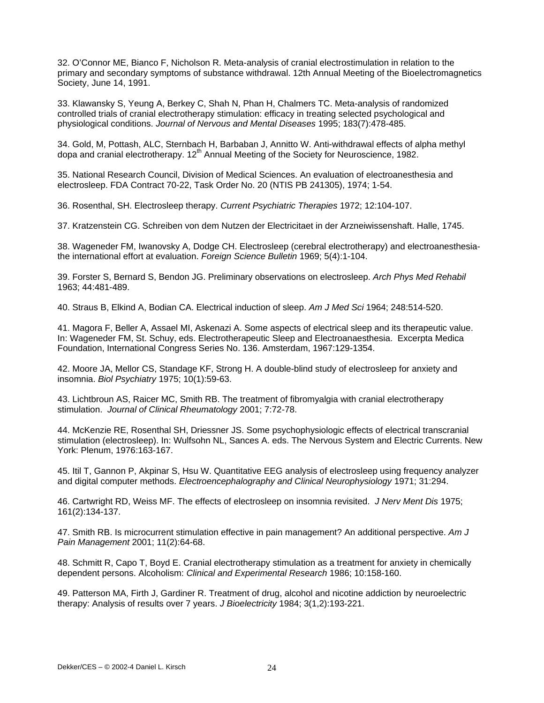32. O'Connor ME, Bianco F, Nicholson R. Meta-analysis of cranial electrostimulation in relation to the primary and secondary symptoms of substance withdrawal. 12th Annual Meeting of the Bioelectromagnetics Society, June 14, 1991.

33. Klawansky S, Yeung A, Berkey C, Shah N, Phan H, Chalmers TC. Meta-analysis of randomized controlled trials of cranial electrotherapy stimulation: efficacy in treating selected psychological and physiological conditions. *Journal of Nervous and Mental Diseases* 1995; 183(7):478-485.

34. Gold, M, Pottash, ALC, Sternbach H, Barbaban J, Annitto W. Anti-withdrawal effects of alpha methyl dopa and cranial electrotherapy. 12<sup>th</sup> Annual Meeting of the Society for Neuroscience, 1982.

35. National Research Council, Division of Medical Sciences. An evaluation of electroanesthesia and electrosleep. FDA Contract 70-22, Task Order No. 20 (NTIS PB 241305), 1974; 1-54.

36. Rosenthal, SH. Electrosleep therapy. *Current Psychiatric Therapies* 1972; 12:104-107.

37. Kratzenstein CG. Schreiben von dem Nutzen der Electricitaet in der Arzneiwissenshaft. Halle, 1745.

38. Wageneder FM, Iwanovsky A, Dodge CH. Electrosleep (cerebral electrotherapy) and electroanesthesiathe international effort at evaluation. *Foreign Science Bulletin* 1969; 5(4):1-104.

39. Forster S, Bernard S, Bendon JG. Preliminary observations on electrosleep. *Arch Phys Med Rehabil* 1963; 44:481-489.

40. Straus B, Elkind A, Bodian CA. Electrical induction of sleep. *Am J Med Sci* 1964; 248:514-520.

41. Magora F, Beller A, Assael MI, Askenazi A. Some aspects of electrical sleep and its therapeutic value. In: Wageneder FM, St. Schuy, eds. Electrotherapeutic Sleep and Electroanaesthesia. Excerpta Medica Foundation, International Congress Series No. 136. Amsterdam, 1967:129-1354.

42. Moore JA, Mellor CS, Standage KF, Strong H. A double-blind study of electrosleep for anxiety and insomnia. *Biol Psychiatry* 1975; 10(1):59-63.

43. Lichtbroun AS, Raicer MC, Smith RB. The treatment of fibromyalgia with cranial electrotherapy stimulation. *Journal of Clinical Rheumatology* 2001; 7:72-78.

44. McKenzie RE, Rosenthal SH, Driessner JS. Some psychophysiologic effects of electrical transcranial stimulation (electrosleep). In: Wulfsohn NL, Sances A. eds. The Nervous System and Electric Currents. New York: Plenum, 1976:163-167.

45. Itil T, Gannon P, Akpinar S, Hsu W. Quantitative EEG analysis of electrosleep using frequency analyzer and digital computer methods. *Electroencephalography and Clinical Neurophysiology* 1971; 31:294.

46. Cartwright RD, Weiss MF. The effects of electrosleep on insomnia revisited. *J Nerv Ment Dis* 1975; 161(2):134-137.

47. Smith RB. Is microcurrent stimulation effective in pain management? An additional perspective. *Am J Pain Management* 2001; 11(2):64-68.

48. Schmitt R, Capo T, Boyd E. Cranial electrotherapy stimulation as a treatment for anxiety in chemically dependent persons. Alcoholism: *Clinical and Experimental Research* 1986; 10:158-160.

49. Patterson MA, Firth J, Gardiner R. Treatment of drug, alcohol and nicotine addiction by neuroelectric therapy: Analysis of results over 7 years. *J Bioelectricity* 1984; 3(1,2):193-221.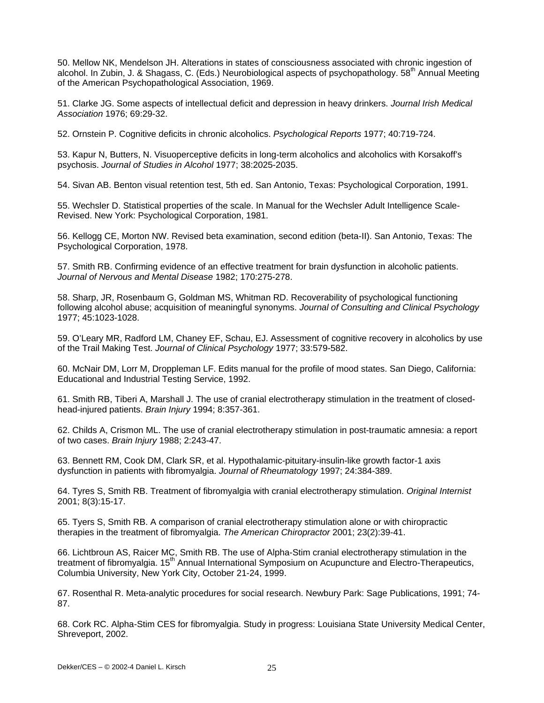50. Mellow NK, Mendelson JH. Alterations in states of consciousness associated with chronic ingestion of alcohol. In Zubin, J. & Shagass, C. (Eds.) Neurobiological aspects of psychopathology. 58<sup>th</sup> Annual Meeting of the American Psychopathological Association, 1969.

51. Clarke JG. Some aspects of intellectual deficit and depression in heavy drinkers. *Journal Irish Medical Association* 1976; 69:29-32.

52. Ornstein P. Cognitive deficits in chronic alcoholics. *Psychological Reports* 1977; 40:719-724.

53. Kapur N, Butters, N. Visuoperceptive deficits in long-term alcoholics and alcoholics with Korsakoff's psychosis. *Journal of Studies in Alcohol* 1977; 38:2025-2035.

54. Sivan AB. Benton visual retention test, 5th ed. San Antonio, Texas: Psychological Corporation, 1991.

55. Wechsler D. Statistical properties of the scale. In Manual for the Wechsler Adult Intelligence Scale-Revised. New York: Psychological Corporation, 1981.

56. Kellogg CE, Morton NW. Revised beta examination, second edition (beta-II). San Antonio, Texas: The Psychological Corporation, 1978.

57. Smith RB. Confirming evidence of an effective treatment for brain dysfunction in alcoholic patients. *Journal of Nervous and Mental Disease* 1982; 170:275-278.

58. Sharp, JR, Rosenbaum G, Goldman MS, Whitman RD. Recoverability of psychological functioning following alcohol abuse; acquisition of meaningful synonyms. *Journal of Consulting and Clinical Psychology* 1977; 45:1023-1028.

59. O'Leary MR, Radford LM, Chaney EF, Schau, EJ. Assessment of cognitive recovery in alcoholics by use of the Trail Making Test. *Journal of Clinical Psychology* 1977; 33:579-582.

60. McNair DM, Lorr M, Droppleman LF. Edits manual for the profile of mood states. San Diego, California: Educational and Industrial Testing Service, 1992.

61. Smith RB, Tiberi A, Marshall J. The use of cranial electrotherapy stimulation in the treatment of closedhead-injured patients. *Brain Injury* 1994; 8:357-361.

62. Childs A, Crismon ML. The use of cranial electrotherapy stimulation in post-traumatic amnesia: a report of two cases. *Brain Injury* 1988; 2:243-47.

63. Bennett RM, Cook DM, Clark SR, et al. Hypothalamic-pituitary-insulin-like growth factor-1 axis dysfunction in patients with fibromyalgia. *Journal of Rheumatology* 1997; 24:384-389.

64. Tyres S, Smith RB. Treatment of fibromyalgia with cranial electrotherapy stimulation. *Original Internist* 2001; 8(3):15-17.

65. Tyers S, Smith RB. A comparison of cranial electrotherapy stimulation alone or with chiropractic therapies in the treatment of fibromyalgia. *The American Chiropractor* 2001; 23(2):39-41.

66. Lichtbroun AS, Raicer MC, Smith RB. The use of Alpha-Stim cranial electrotherapy stimulation in the treatment of fibromyalgia. 15<sup>th</sup> Annual International Symposium on Acupuncture and Electro-Therapeutics, Columbia University, New York City, October 21-24, 1999.

67. Rosenthal R. Meta-analytic procedures for social research. Newbury Park: Sage Publications, 1991; 74- 87.

68. Cork RC. Alpha-Stim CES for fibromyalgia. Study in progress: Louisiana State University Medical Center, Shreveport, 2002.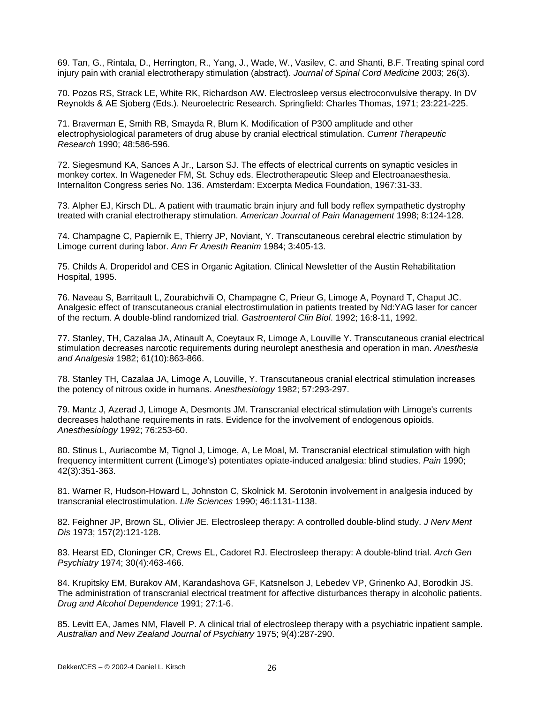69. Tan, G., Rintala, D., Herrington, R., Yang, J., Wade, W., Vasilev, C. and Shanti, B.F. Treating spinal cord injury pain with cranial electrotherapy stimulation (abstract). *Journal of Spinal Cord Medicine* 2003; 26(3).

70. Pozos RS, Strack LE, White RK, Richardson AW. Electrosleep versus electroconvulsive therapy. In DV Reynolds & AE Sjoberg (Eds.). Neuroelectric Research. Springfield: Charles Thomas, 1971; 23:221-225.

71. Braverman E, Smith RB, Smayda R, Blum K. Modification of P300 amplitude and other electrophysiological parameters of drug abuse by cranial electrical stimulation. *Current Therapeutic Research* 1990; 48:586-596.

72. Siegesmund KA, Sances A Jr., Larson SJ. The effects of electrical currents on synaptic vesicles in monkey cortex. In Wageneder FM, St. Schuy eds. Electrotherapeutic Sleep and Electroanaesthesia. Internaliton Congress series No. 136. Amsterdam: Excerpta Medica Foundation, 1967:31-33.

73. Alpher EJ, Kirsch DL. A patient with traumatic brain injury and full body reflex sympathetic dystrophy treated with cranial electrotherapy stimulation. *American Journal of Pain Management* 1998; 8:124-128.

74. Champagne C, Papiernik E, Thierry JP, Noviant, Y. Transcutaneous cerebral electric stimulation by Limoge current during labor. *Ann Fr Anesth Reanim* 1984; 3:405-13.

75. Childs A. Droperidol and CES in Organic Agitation. Clinical Newsletter of the Austin Rehabilitation Hospital, 1995.

76. Naveau S, Barritault L, Zourabichvili O, Champagne C, Prieur G, Limoge A, Poynard T, Chaput JC. Analgesic effect of transcutaneous cranial electrostimulation in patients treated by Nd:YAG laser for cancer of the rectum. A double-blind randomized trial. *Gastroenterol Clin Biol*. 1992; 16:8-11, 1992.

77. Stanley, TH, Cazalaa JA, Atinault A, Coeytaux R, Limoge A, Louville Y. Transcutaneous cranial electrical stimulation decreases narcotic requirements during neurolept anesthesia and operation in man. *Anesthesia and Analgesia* 1982; 61(10):863-866.

78. Stanley TH, Cazalaa JA, Limoge A, Louville, Y. Transcutaneous cranial electrical stimulation increases the potency of nitrous oxide in humans. *Anesthesiology* 1982; 57:293-297.

79. Mantz J, Azerad J, Limoge A, Desmonts JM. Transcranial electrical stimulation with Limoge's currents decreases halothane requirements in rats. Evidence for the involvement of endogenous opioids. *Anesthesiology* 1992; 76:253-60.

80. Stinus L, Auriacombe M, Tignol J, Limoge, A, Le Moal, M. Transcranial electrical stimulation with high frequency intermittent current (Limoge's) potentiates opiate-induced analgesia: blind studies. *Pain* 1990; 42(3):351-363.

81. Warner R, Hudson-Howard L, Johnston C, Skolnick M. Serotonin involvement in analgesia induced by transcranial electrostimulation. *Life Sciences* 1990; 46:1131-1138.

82. Feighner JP, Brown SL, Olivier JE. Electrosleep therapy: A controlled double-blind study. *J Nerv Ment Dis* 1973; 157(2):121-128.

83. Hearst ED, Cloninger CR, Crews EL, Cadoret RJ. Electrosleep therapy: A double-blind trial. *Arch Gen Psychiatry* 1974; 30(4):463-466.

84. Krupitsky EM, Burakov AM, Karandashova GF, Katsnelson J, Lebedev VP, Grinenko AJ, Borodkin JS. The administration of transcranial electrical treatment for affective disturbances therapy in alcoholic patients. *Drug and Alcohol Dependence* 1991; 27:1-6.

85. Levitt EA, James NM, Flavell P. A clinical trial of electrosleep therapy with a psychiatric inpatient sample. *Australian and New Zealand Journal of Psychiatry* 1975; 9(4):287-290.